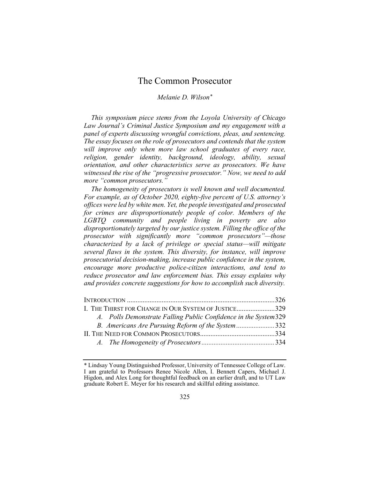# The Common Prosecutor

# Melanie D. Wilson\*

This symposium piece stems from the Loyola University of Chicago Law Journal's Criminal Justice Symposium and my engagement with a panel of experts discussing wrongful convictions, pleas, and sentencing. The essay focuses on the role of prosecutors and contends that the system will improve only when more law school graduates of every race, religion, gender identity, background, ideology, ability, sexual orientation, and other characteristics serve as prosecutors. We have witnessed the rise of the "progressive prosecutor." Now, we need to add more "common prosecutors."

The homogeneity of prosecutors is well known and well documented. For example, as of October 2020, eighty-five percent of U.S. attorney's offices were led by white men. Yet, the people investigated and prosecuted for crimes are disproportionately people of color. Members of the LGBTQ community and people living in poverty are also disproportionately targeted by our justice system. Filling the office of the prosecutor with significantly more "common prosecutors"—those characterized by a lack of privilege or special status—will mitigate several flaws in the system. This diversity, for instance, will improve prosecutorial decision-making, increase public confidence in the system, encourage more productive police-citizen interactions, and tend to reduce prosecutor and law enforcement bias. This essay explains why and provides concrete suggestions for how to accomplish such diversity.

| I. THE THIRST FOR CHANGE IN OUR SYSTEM OF JUSTICE329             |  |
|------------------------------------------------------------------|--|
| A. Polls Demonstrate Falling Public Confidence in the System 329 |  |
| B. Americans Are Pursuing Reform of the System332                |  |
|                                                                  |  |
|                                                                  |  |

<sup>\*</sup> Lindsay Young Distinguished Professor, University of Tennessee College of Law. I am grateful to Professors Renee Nicole Allen, I. Bennett Capers, Michael J. Higdon, and Alex Long for thoughtful feedback on an earlier draft, and to UT Law graduate Robert E. Meyer for his research and skillful editing assistance.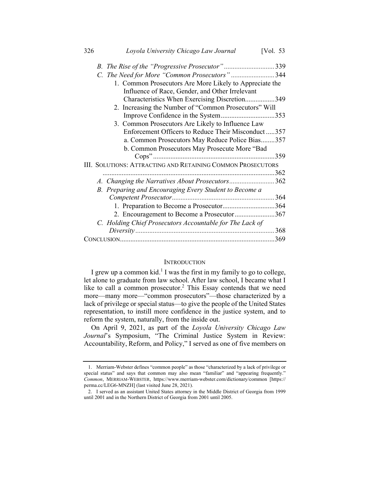| 326 | Loyola University Chicago Law Journal<br>[Vol. $53$         |
|-----|-------------------------------------------------------------|
|     | B. The Rise of the "Progressive Prosecutor"339              |
|     | C. The Need for More "Common Prosecutors"344                |
|     | 1. Common Prosecutors Are More Likely to Appreciate the     |
|     | Influence of Race, Gender, and Other Irrelevant             |
|     | Characteristics When Exercising Discretion349               |
|     | 2. Increasing the Number of "Common Prosecutors" Will       |
|     | Improve Confidence in the System353                         |
|     | 3. Common Prosecutors Are Likely to Influence Law           |
|     | Enforcement Officers to Reduce Their Misconduct357          |
|     | a. Common Prosecutors May Reduce Police Bias357             |
|     | b. Common Prosecutors May Prosecute More "Bad               |
|     |                                                             |
|     | III. SOLUTIONS: ATTRACTING AND RETAINING COMMON PROSECUTORS |
|     |                                                             |
|     | A. Changing the Narratives About Prosecutors362             |
|     |                                                             |
|     | B. Preparing and Encouraging Every Student to Become a      |
|     |                                                             |
|     | 1. Preparation to Become a Prosecutor364                    |
|     | 2. Encouragement to Become a Prosecutor367                  |
|     | C. Holding Chief Prosecutors Accountable for The Lack of    |
|     | 368                                                         |
|     | .369                                                        |

### **INTRODUCTION**

I grew up a common kid.<sup>1</sup> I was the first in my family to go to college, let alone to graduate from law school. After law school, I became what I like to call a common prosecutor.<sup>2</sup> This Essay contends that we need more—many more—"common prosecutors"—those characterized by a lack of privilege or special status—to give the people of the United States representation, to instill more confidence in the justice system, and to reform the system, naturally, from the inside out.

On April 9, 2021, as part of the Loyola University Chicago Law Journal's Symposium, "The Criminal Justice System in Review: Accountability, Reform, and Policy," I served as one of five members on

<sup>1.</sup> Merriam-Webster defines "common people" as those "characterized by a lack of privilege or special status" and says that common may also mean "familiar" and "appearing frequently." Common, MERRIAM-WEBSTER, https://www.merriam-webster.com/dictionary/common [https:// perma.cc/LEG6-MNZH] (last visited June 28, 2021).

<sup>2.</sup> I served as an assistant United States attorney in the Middle District of Georgia from 1999 until 2001 and in the Northern District of Georgia from 2001 until 2005.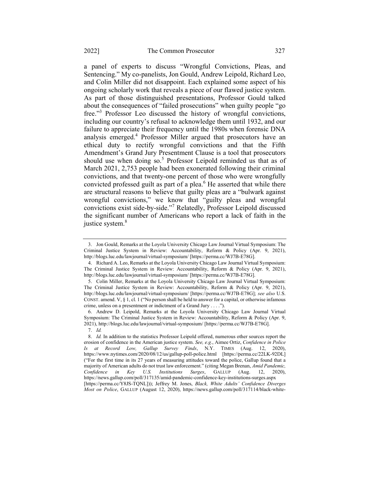a panel of experts to discuss "Wrongful Convictions, Pleas, and Sentencing." My co-panelists, Jon Gould, Andrew Leipold, Richard Leo, and Colin Miller did not disappoint. Each explained some aspect of his ongoing scholarly work that reveals a piece of our flawed justice system. As part of those distinguished presentations, Professor Gould talked about the consequences of "failed prosecutions" when guilty people "go free."<sup>3</sup> Professor Leo discussed the history of wrongful convictions, including our country's refusal to acknowledge them until 1932, and our failure to appreciate their frequency until the 1980s when forensic DNA analysis emerged.<sup>4</sup> Professor Miller argued that prosecutors have an ethical duty to rectify wrongful convictions and that the Fifth Amendment's Grand Jury Presentment Clause is a tool that prosecutors should use when doing so.<sup>5</sup> Professor Leipold reminded us that as of March 2021, 2,753 people had been exonerated following their criminal convictions, and that twenty-one percent of those who were wrongfully convicted professed guilt as part of a plea. $<sup>6</sup>$  He asserted that while there</sup> are structural reasons to believe that guilty pleas are a "bulwark against wrongful convictions," we know that "guilty pleas and wrongful convictions exist side-by-side."<sup>7</sup> Relatedly, Professor Leipold discussed the significant number of Americans who report a lack of faith in the justice system.<sup>8</sup>

<sup>3.</sup> Jon Gould, Remarks at the Loyola University Chicago Law Journal Virtual Symposium: The Criminal Justice System in Review: Accountability, Reform & Policy (Apr. 9, 2021), http://blogs.luc.edu/lawjournal/virtual-symposium/ [https://perma.cc/WJ7B-E78G].

<sup>4.</sup> Richard A. Leo, Remarks at the Loyola University Chicago Law Journal Virtual Symposium: The Criminal Justice System in Review: Accountability, Reform & Policy (Apr. 9, 2021), http://blogs.luc.edu/lawjournal/virtual-symposium/ [https://perma.cc/WJ7B-E78G].

<sup>5.</sup> Colin Miller, Remarks at the Loyola University Chicago Law Journal Virtual Symposium: The Criminal Justice System in Review: Accountability, Reform & Policy (Apr. 9, 2021), http://blogs.luc.edu/lawjournal/virtual-symposium/ [https://perma.cc/WJ7B-E78G]; see also U.S. CONST. amend. V, § 1, cl. 1 ("No person shall be held to answer for a capital, or otherwise infamous crime, unless on a presentment or indictment of a Grand Jury . . . .").

<sup>6.</sup> Andrew D. Leipold, Remarks at the Loyola University Chicago Law Journal Virtual Symposium: The Criminal Justice System in Review: Accountability, Reform & Policy (Apr. 9, 2021), http://blogs.luc.edu/lawjournal/virtual-symposium/ [https://perma.cc/WJ7B-E78G]. 7. Id.

<sup>8.</sup> Id. In addition to the statistics Professor Leipold offered, numerous other sources report the erosion of confidence in the American justice system. See, e.g., Aimee Ortiz, Confidence in Police Is at Record Low, Gallup Survey Finds, N.Y. TIMES (Aug. 12, 2020), https://www.nytimes.com/2020/08/12/us/gallup-poll-police.html [https://perma.cc/22LK-92DL] ("For the first time in its 27 years of measuring attitudes toward the police, Gallup found that a majority of American adults do not trust law enforcement." (citing Megan Brenan, Amid Pandemic,<br>Confidence in Kev U.S. Institutions Surges, GALLUP (Aug. 12, 2020), Confidence in Key U.S. Institutions Surges, GALLUP (Aug. https://news.gallup.com/poll/317135/amid-pandemic-confidence-key-institutions-surges.aspx [https://perma.cc/Y8JS-TQNL])); Jeffrey M. Jones, Black, White Adults' Confidence Diverges Most on Police, GALLUP (August 12, 2020), https://news.gallup.com/poll/317114/black-white-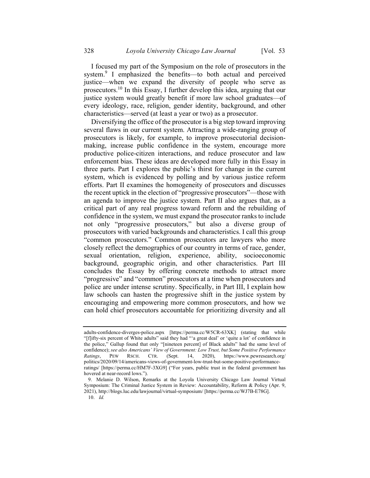I focused my part of the Symposium on the role of prosecutors in the system.<sup>9</sup> I emphasized the benefits—to both actual and perceived justice—when we expand the diversity of people who serve as prosecutors.<sup>10</sup> In this Essay, I further develop this idea, arguing that our justice system would greatly benefit if more law school graduates—of every ideology, race, religion, gender identity, background, and other characteristics—served (at least a year or two) as a prosecutor.

Diversifying the office of the prosecutor is a big step toward improving several flaws in our current system. Attracting a wide-ranging group of prosecutors is likely, for example, to improve prosecutorial decisionmaking, increase public confidence in the system, encourage more productive police-citizen interactions, and reduce prosecutor and law enforcement bias. These ideas are developed more fully in this Essay in three parts. Part I explores the public's thirst for change in the current system, which is evidenced by polling and by various justice reform efforts. Part II examines the homogeneity of prosecutors and discusses the recent uptick in the election of "progressive prosecutors"—those with an agenda to improve the justice system. Part II also argues that, as a critical part of any real progress toward reform and the rebuilding of confidence in the system, we must expand the prosecutor ranks to include not only "progressive prosecutors," but also a diverse group of prosecutors with varied backgrounds and characteristics. I call this group "common prosecutors." Common prosecutors are lawyers who more closely reflect the demographics of our country in terms of race, gender, sexual orientation, religion, experience, ability, socioeconomic background, geographic origin, and other characteristics. Part III concludes the Essay by offering concrete methods to attract more "progressive" and "common" prosecutors at a time when prosecutors and police are under intense scrutiny. Specifically, in Part III, I explain how law schools can hasten the progressive shift in the justice system by encouraging and empowering more common prosecutors, and how we can hold chief prosecutors accountable for prioritizing diversity and all

adults-confidence-diverges-police.aspx [https://perma.cc/W5CR-63XK] (stating that while "[f]ifty-six percent of White adults" said they had "'a great deal' or 'quite a lot' of confidence in the police," Gallup found that only "[nineteen percent] of Black adults" had the same level of confidence); see also Americans' View of Government: Low Trust, but Some Positive Performance Ratings, PEW RSCH. CTR. (Sept. 14, 2020), https://www.pewresearch.org/ politics/2020/09/14/americans-views-of-government-low-trust-but-some-positive-performanceratings/ [https://perma.cc/HM7F-3XG9] ("For years, public trust in the federal government has hovered at near-record lows.").

<sup>9.</sup> Melanie D. Wilson, Remarks at the Loyola University Chicago Law Journal Virtual Symposium: The Criminal Justice System in Review: Accountability, Reform & Policy (Apr. 9, 2021), http://blogs.luc.edu/lawjournal/virtual-symposium/ [https://perma.cc/WJ7B-E78G].

<sup>10.</sup> Id.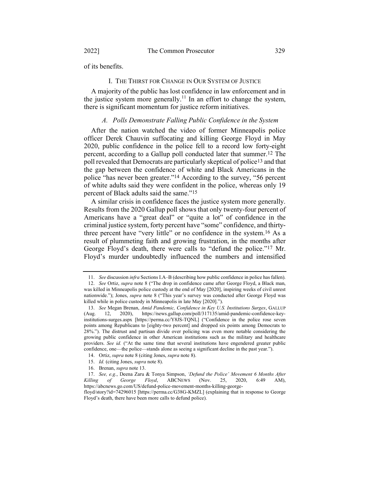of its benefits.

#### I. THE THIRST FOR CHANGE IN OUR SYSTEM OF JUSTICE

A majority of the public has lost confidence in law enforcement and in the justice system more generally.<sup>11</sup> In an effort to change the system, there is significant momentum for justice reform initiatives.

### A. Polls Demonstrate Falling Public Confidence in the System

After the nation watched the video of former Minneapolis police officer Derek Chauvin suffocating and killing George Floyd in May 2020, public confidence in the police fell to a record low forty-eight percent, according to a Gallup poll conducted later that summer.12 The poll revealed that Democrats are particularly skeptical of police<sup>13</sup> and that the gap between the confidence of white and Black Americans in the police "has never been greater."14 According to the survey, "56 percent of white adults said they were confident in the police, whereas only 19 percent of Black adults said the same."15

A similar crisis in confidence faces the justice system more generally. Results from the 2020 Gallup poll shows that only twenty-four percent of Americans have a "great deal" or "quite a lot" of confidence in the criminal justice system, forty percent have "some" confidence, and thirtythree percent have "very little" or no confidence in the system.16 As a result of plummeting faith and growing frustration, in the months after George Floyd's death, there were calls to "defund the police."17 Mr. Floyd's murder undoubtedly influenced the numbers and intensified

<sup>11.</sup> See discussion infra Sections I.A–B (describing how public confidence in police has fallen).

<sup>12.</sup> See Ortiz, supra note 8 ("The drop in confidence came after George Floyd, a Black man, was killed in Minneapolis police custody at the end of May [2020], inspiring weeks of civil unrest nationwide."); Jones, supra note 8 ("This year's survey was conducted after George Floyd was killed while in police custody in Minneapolis in late May [2020].").

<sup>13.</sup> See Megan Brenan, Amid Pandemic, Confidence in Key U.S. Institutions Surges, GALLUP (Aug. 12, 2020), https://news.gallup.com/poll/317135/amid-pandemic-confidence-keyinstitutions-surges.aspx [https://perma.cc/Y8JS-TQNL] ("Confidence in the police rose seven points among Republicans to [eighty-two percent] and dropped six points among Democrats to 28%."). The distrust and partisan divide over policing was even more notable considering the growing public confidence in other American institutions such as the military and healthcare providers. See id. ("At the same time that several institutions have engendered greater public confidence, one—the police—stands alone as seeing a significant decline in the past year.").

<sup>14.</sup> Ortiz, supra note 8 (citing Jones, supra note 8).

<sup>15.</sup> Id. (citing Jones, supra note 8).

<sup>16.</sup> Brenan, supra note 13.

<sup>17.</sup> See, e.g., Deena Zaru & Tonya Simpson, 'Defund the Police' Movement 6 Months After Killing of George Floyd, ABCNEWS (Nov. 25, 2020, 6:49 AM), https://abcnews.go.com/US/defund-police-movement-months-killing-george-

floyd/story?id=74296015 [https://perma.cc/G38G-KMZL] (explaining that in response to George Floyd's death, there have been more calls to defund police).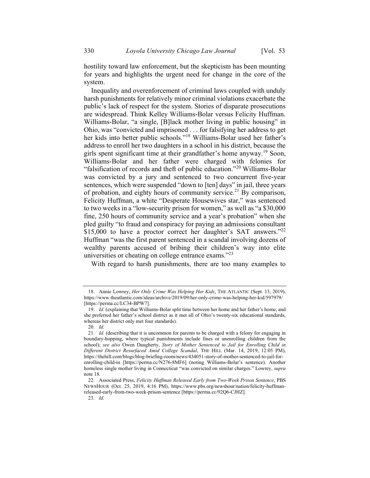hostility toward law enforcement, but the skepticism has been mounting for years and highlights the urgent need for change in the core of the system.

Inequality and overenforcement of criminal laws coupled with unduly harsh punishments for relatively minor criminal violations exacerbate the public's lack of respect for the system. Stories of disparate prosecutions are widespread. Think Kelley Williams-Bolar versus Felicity Huffman. Williams-Bolar, "a single, [B]lack mother living in public housing" in Ohio, was "convicted and imprisoned . . . for falsifying her address to get her kids into better public schools."<sup>18</sup> Williams-Bolar used her father's address to enroll her two daughters in a school in his district, because the girls spent significant time at their grandfather's home anyway.<sup>19</sup> Soon, Williams-Bolar and her father were charged with felonies for "falsification of records and theft of public education."<sup>20</sup> Williams-Bolar was convicted by a jury and sentenced to two concurrent five-year sentences, which were suspended "down to [ten] days" in jail, three years of probation, and eighty hours of community service.<sup>21</sup> By comparison, Felicity Huffman, a white "Desperate Housewives star," was sentenced to two weeks in a "low-security prison for women," as well as "a \$30,000 fine, 250 hours of community service and a year's probation" when she pled guilty "to fraud and conspiracy for paying an admissions consultant \$15,000 to have a proctor correct her daughter's SAT answers."<sup>22</sup> Huffman "was the first parent sentenced in a scandal involving dozens of wealthy parents accused of bribing their children's way into elite universities or cheating on college entrance exams."<sup>23</sup>

With regard to harsh punishments, there are too many examples to

23. Id.

<sup>18.</sup> Annie Lowrey, *Her Only Crime Was Helping Her Kids*, THE ATLANTIC (Sept. 13, 2019), https://www.theatlantic.com/ideas/archive/2019/09/her-only-crime-was-helping-her-kid/597979/ [https://perma.cc/LC34-BPW7].

<sup>19.</sup> Id. (explaining that Williams-Bolar split time between her home and her father's home, and she preferred her father's school district as it met all of Ohio's twenty-six educational standards, whereas her district only met four standards).

<sup>20.</sup> Id.

<sup>21.</sup> Id. (describing that it is uncommon for parents to be charged with a felony for engaging in boundary-hopping, where typical punishments include fines or unenrolling children from the school); see also Owen Daugherty, Story of Mother Sentenced to Jail for Enrolling Child in Different District Resurfaced Amid College Scandal, THE HILL (Mar. 14, 2019, 12:05 PM), https://thehill.com/blogs/blog-briefing-room/news/434051-story-of-mother-sentenced-to-jail-forenrolling-child-in [https://perma.cc/N276-8MF6] (noting Williams-Bolar's sentence). Another homeless single mother living in Connecticut "was convicted on similar charges." Lowrey, supra note 18.

<sup>22.</sup> Associated Press, Felicity Huffman Released Early from Two-Week Prison Sentence, PBS NEWSHOUR (Oct. 25, 2019, 4:16 PM), https://www.pbs.org/newshour/nation/felicity-huffmanreleased-early-from-two-week-prison-sentence [https://perma.cc/92Q6-CJHZ].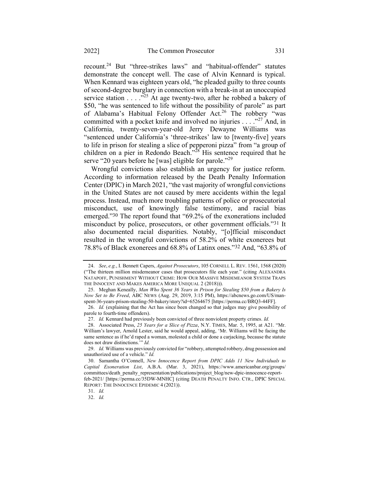recount.<sup>24</sup> But "three-strikes laws" and "habitual-offender" statutes demonstrate the concept well. The case of Alvin Kennard is typical. When Kennard was eighteen years old, "he pleaded guilty to three counts of second-degree burglary in connection with a break-in at an unoccupied service station . . . ."<sup>25</sup> At age twenty-two, after he robbed a bakery of \$50, "he was sentenced to life without the possibility of parole" as part of Alabama's Habitual Felony Offender Act.<sup>26</sup> The robbery "was committed with a pocket knife and involved no injuries  $\ldots$  ."<sup>27</sup> And, in California, twenty-seven-year-old Jerry Dewayne Williams was "sentenced under California's 'three-strikes' law to [twenty-five] years to life in prison for stealing a slice of pepperoni pizza" from "a group of children on a pier in Redondo Beach."<sup>28</sup> His sentence required that he serve "20 years before he [was] eligible for parole."<sup>29</sup>

Wrongful convictions also establish an urgency for justice reform. According to information released by the Death Penalty Information Center (DPIC) in March 2021, "the vast majority of wrongful convictions in the United States are not caused by mere accidents within the legal process. Instead, much more troubling patterns of police or prosecutorial misconduct, use of knowingly false testimony, and racial bias emerged."30 The report found that "69.2% of the exonerations included misconduct by police, prosecutors, or other government officials."31 It also documented racial disparities. Notably, "[o]fficial misconduct resulted in the wrongful convictions of 58.2% of white exonerees but 78.8% of Black exonerees and 68.8% of Latinx ones."32 And, "63.8% of

<sup>24.</sup> See, e.g., I. Bennett Capers, Against Prosecutors, 105 CORNELL L. REV. 1561, 1568 (2020) ("The thirteen million misdemeanor cases that prosecutors file each year." (citing ALEXANDRA NATAPOFF, PUNISHMENT WITHOUT CRIME: HOW OUR MASSIVE MISDEMEANOR SYSTEM TRAPS THE INNOCENT AND MAKES AMERICA MORE UNEQUAL 2 (2018))).

<sup>25.</sup> Meghan Keneally, Man Who Spent 36 Years in Prison for Stealing \$50 from a Bakery Is Now Set to Be Freed, ABC NEWS (Aug. 29, 2019, 3:15 PM), https://abcnews.go.com/US/manspent-36-years-prison-stealing-50-bakery/story?id=65264675 [https://perma.cc/BRQ3-44FF].

<sup>26.</sup> Id. (explaining that the Act has since been changed so that judges may give possibility of parole to fourth-time offenders).

<sup>27.</sup> Id. Kennard had previously been convicted of three nonviolent property crimes. Id.

<sup>28.</sup> Associated Press, 25 Years for a Slice of Pizza, N.Y. TIMES, Mar. 5, 1995, at A21. "Mr. William's lawyer, Arnold Lester, said he would appeal, adding, 'Mr. Williams will be facing the same sentence as if he'd raped a woman, molested a child or done a carjacking, because the statute does not draw distinctions." Id.

<sup>29.</sup> Id. Williams was previously convicted for "robbery, attempted robbery, drug possession and unauthorized use of a vehicle." Id.

<sup>30.</sup> Samantha O'Connell, New Innocence Report from DPIC Adds 11 New Individuals to Capital Exoneration List, A.B.A. (Mar. 3, 2021), https://www.americanbar.org/groups/ committees/death\_penalty\_representation/publications/project\_blog/new-dpic-innocence-reportfeb-2021/ [https://perma.cc/35DW-MNHC] (citing DEATH PENALTY INFO. CTR., DPIC SPECIAL REPORT: THE INNOCENCE EPIDEMIC 4 (2021)).

<sup>31.</sup> Id.

<sup>32.</sup> Id.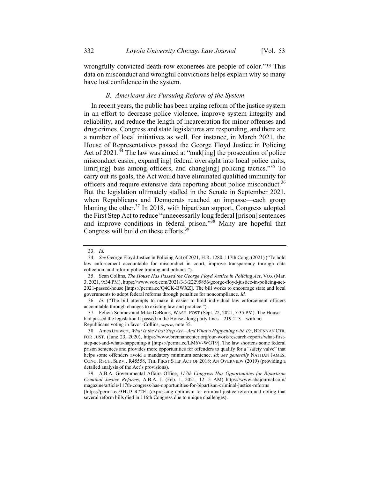wrongfully convicted death-row exonerees are people of color."33 This data on misconduct and wrongful convictions helps explain why so many have lost confidence in the system.

### B. Americans Are Pursuing Reform of the System

In recent years, the public has been urging reform of the justice system in an effort to decrease police violence, improve system integrity and reliability, and reduce the length of incarceration for minor offenses and drug crimes. Congress and state legislatures are responding, and there are a number of local initiatives as well. For instance, in March 2021, the House of Representatives passed the George Floyd Justice in Policing Act of  $2021$ .<sup>34</sup> The law was aimed at "mak[ing] the prosecution of police misconduct easier, expand[ing] federal oversight into local police units, limit[ing] bias among officers, and chang[ing] policing tactics."<sup>35</sup> To carry out its goals, the Act would have eliminated qualified immunity for officers and require extensive data reporting about police misconduct.<sup>36</sup> But the legislation ultimately stalled in the Senate in September 2021, when Republicans and Democrats reached an impasse—each group blaming the other. $37$  In 2018, with bipartisan support, Congress adopted the First Step Act to reduce "unnecessarily long federal [prison] sentences and improve conditions in federal prison."<sup>38</sup> Many are hopeful that Congress will build on these efforts.<sup>39</sup>

<sup>33.</sup> Id.

<sup>34.</sup> See George Floyd Justice in Policing Act of 2021, H.R. 1280, 117th Cong. (2021) ("To hold law enforcement accountable for misconduct in court, improve transparency through data collection, and reform police training and policies.").

<sup>35.</sup> Sean Collins, The House Has Passed the George Floyd Justice in Policing Act, VOX (Mar. 3, 2021, 9:34 PM), https://www.vox.com/2021/3/3/22295856/george-floyd-justice-in-policing-act-2021-passed-house [https://perma.cc/Q4CK-BWXZ]. The bill works to encourage state and local governments to adopt federal reforms through penalties for noncompliance. Id.

<sup>36.</sup> Id. ("The bill attempts to make it easier to hold individual law enforcement officers accountable through changes to existing law and practice.").

<sup>37.</sup> Felicia Sonmez and Mike DeBonis, WASH. POST (Sept. 22, 2021, 7:35 PM). The House had passed the legislation It passed in the House along party lines—219-213—with no Republicans voting in favor. Collins, supra, note 35.

<sup>38.</sup> Ames Grawert, What Is the First Step Act—And What's Happening with It?, BRENNAN CTR. FOR JUST. (June 23, 2020), https://www.brennancenter.org/our-work/research-reports/what-firststep-act-and-whats-happening-it [https://perma.cc/LM6V-WGT9]. The law shortens some federal prison sentences and provides more opportunities for offenders to qualify for a "safety valve" that helps some offenders avoid a mandatory minimum sentence. Id; see generally NATHAN JAMES, CONG. RSCH. SERV., R45558, THE FIRST STEP ACT OF 2018: AN OVERVIEW (2019) (providing a detailed analysis of the Act's provisions).

<sup>39.</sup> A.B.A. Governmental Affairs Office, 117th Congress Has Opportunities for Bipartisan Criminal Justice Reforms, A.B.A. J. (Feb. 1, 2021, 12:15 AM) https://www.abajournal.com/ magazine/article/117th-congress-has-opportunities-for-bipartisan-criminal-justice-reforms

<sup>[</sup>https://perma.cc/3HU3-R72E] (expressing optimism for criminal justice reform and noting that several reform bills died in 116th Congress due to unique challenges).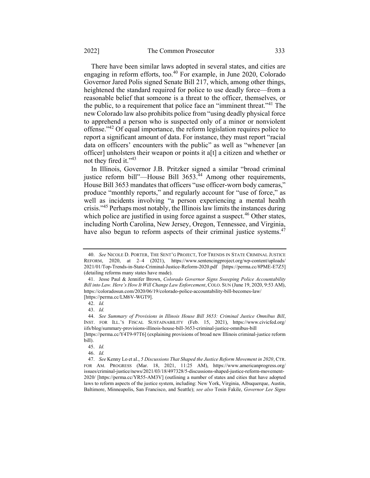There have been similar laws adopted in several states, and cities are engaging in reform efforts, too.<sup>40</sup> For example, in June 2020, Colorado Governor Jared Polis signed Senate Bill 217, which, among other things, heightened the standard required for police to use deadly force—from a reasonable belief that someone is a threat to the officer, themselves, or the public, to a requirement that police face an "imminent threat."<sup>41</sup> The new Colorado law also prohibits police from "using deadly physical force to apprehend a person who is suspected only of a minor or nonviolent offense."<sup>42</sup> Of equal importance, the reform legislation requires police to report a significant amount of data. For instance, they must report "racial data on officers' encounters with the public" as well as "whenever [an officer] unholsters their weapon or points it a[t] a citizen and whether or not they fired it."<sup>43</sup>

In Illinois, Governor J.B. Pritzker signed a similar "broad criminal justice reform bill"—House Bill 3653.<sup>44</sup> Among other requirements, House Bill 3653 mandates that officers "use officer-worn body cameras," produce "monthly reports," and regularly account for "use of force," as well as incidents involving "a person experiencing a mental health crisis."<sup>45</sup> Perhaps most notably, the Illinois law limits the instances during which police are justified in using force against a suspect.<sup>46</sup> Other states, including North Carolina, New Jersey, Oregon, Tennessee, and Virginia, have also begun to reform aspects of their criminal justice systems.<sup>47</sup>

<sup>40.</sup> See NICOLE D. PORTER, THE SENT'G PROJECT, TOP TRENDS IN STATE CRIMINAL JUSTICE REFORM, 2020, at 2–4 (2021), https://www.sentencingproject.org/wp-content/uploads/ 2021/01/Top-Trends-in-State-Criminal-Justice-Reform-2020.pdf [https://perma.cc/8PME-E7Z5] (detailing reforms many states have made).

<sup>41.</sup> Jesse Paul & Jennifer Brown, Colorado Governor Signs Sweeping Police Accountability Bill into Law. Here's How It Will Change Law Enforcement, COLO. SUN (June 19, 2020, 9:53 AM), https://coloradosun.com/2020/06/19/colorado-police-accountability-bill-becomes-law/ [https://perma.cc/LM6V-WGT9].

<sup>42.</sup> Id.

<sup>43.</sup> Id.

<sup>44.</sup> See Summary of Provisions in Illinois House Bill 3653: Criminal Justice Omnibus Bill, INST. FOR ILL.'S FISCAL SUSTAINABILITY (Feb. 15, 2021), https://www.civicfed.org/ iifs/blog/summary-provisions-illinois-house-bill-3653-criminal-justice-omnibus-bill

<sup>[</sup>https://perma.cc/Y4T9-97T6] (explaining provisions of broad new Illinois criminal-justice reform bill).

<sup>45.</sup> Id.

<sup>46.</sup> Id.

<sup>47.</sup> See Kenny Lo et al., 5 Discussions That Shaped the Justice Reform Movement in 2020, CTR. FOR AM. PROGRESS (Mar. 18, 2021, 11:25 AM), https://www.americanprogress.org/ issues/criminal-justice/news/2021/03/18/497328/5-discussions-shaped-justice-reform-movement-2020/ [https://perma.cc/YR55-AM3V] (outlining a number of states and cities that have adopted laws to reform aspects of the justice system, including: New York, Virginia, Albuquerque, Austin, Baltimore, Minneapolis, San Francisco, and Seattle); see also Tosin Fakile, Governor Lee Signs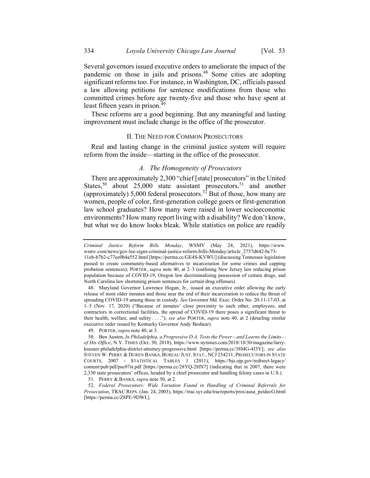Several governors issued executive orders to ameliorate the impact of the pandemic on those in jails and prisons.<sup>48</sup> Some cities are adopting significant reforms too. For instance, in Washington, DC, officials passed a law allowing petitions for sentence modifications from those who committed crimes before age twenty-five and those who have spent at least fifteen years in prison.<sup>49</sup>

These reforms are a good beginning. But any meaningful and lasting improvement must include change in the office of the prosecutor.

#### II. THE NEED FOR COMMON PROSECUTORS

Real and lasting change in the criminal justice system will require reform from the inside—starting in the office of the prosecutor.

### A. The Homogeneity of Prosecutors

There are approximately 2,300 "chief [state] prosecutors" in the United States,<sup>50</sup> about 25,000 state assistant prosecutors,<sup>51</sup> and another (approximately) 5,000 federal prosecutors.<sup>52</sup> But of those, how many are women, people of color, first-generation college goers or first-generation law school graduates? How many were raised in lower socioeconomic environments? How many report living with a disability? We don't know, but what we do know looks bleak. While statistics on police are readily

49. PORTER, supra note 40, at 3.

51. PERRY & BANKS, *supra* note 50, at 2.

52. Federal Prosecutors: Wide Variation Found in Handling of Criminal Referrals for Prosecution, TRAC REPS. (Jan. 24, 2003), https://trac.syr.edu/tracreports/pros/ausa\_pctdecG.html [https://perma.cc/Z8PE-9DWL].

Criminal Justice Reform Bills Monday, WSMV (May 24, 2021), https://www. wsmv.com/news/gov-lee-signs-criminal-justice-reform-bills-Monday/article\_2757d642-bc73- 11eb-b7b2-c77ee0b4a552.html [https://perma.cc/GE4S-KVWU] (discussing Tennessee legislation

passed to create community-based alternatives to incarceration for some crimes and capping probation sentences); PORTER, supra note 40, at 2–3 (outlining New Jersey law reducing prison population because of COVID-19, Oregon law decriminalizing possession of certain drugs, and North Carolina law shortening prison sentences for certain drug offenses).

<sup>48.</sup> Maryland Governor Lawrence Hogan, Jr., issued an executive order allowing the early release of most older inmates and those near the end of their incarceration to reduce the threat of spreading COVID-19 among those in custody. See Governor Md. Exec. Order No. 20-11-17-03, at 1–5 (Nov. 17, 2020) ("Because of inmates' close proximity to each other, employees, and contractors in correctional facilities, the spread of COVID-19 there poses a significant threat to their health, welfare, and safety  $\dots$ "); see also PORTER, supra note 40, at 2 (detailing similar executive order issued by Kentucky Governor Andy Beshear).

<sup>50.</sup> Ben Austen, In Philadelphia, a Progressive D.A. Tests the Power—and Learns the Limits of His Office, N.Y. TIMES (Oct. 30, 2018), https://www.nytimes.com/2018/10/30/magazine/larrykrasner-philadelphia-district-attorney-progressive.html [https://perma.cc/38MG-4J3Y]; see also STEVEN W. PERRY & DUREN BANKS, BUREAU JUST. STAT., NCJ 234211, PROSECUTORS IN STATE COURTS, 2007 - STATISTICAL TABLES 1 (2011), https://bjs.ojp.gov/redirect-legacy/ content/pub/pdf/psc07st.pdf [https://perma.cc/28YQ-2HN7] (indicating that in 2007, there were 2,330 state prosecutors' offices, headed by a chief prosecutor and handling felony cases in U.S.).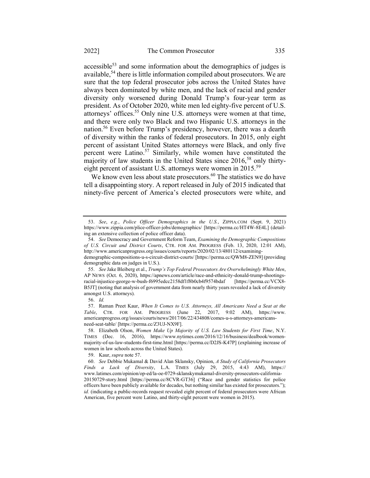accessible<sup>53</sup> and some information about the demographics of judges is available,<sup>54</sup> there is little information compiled about prosecutors. We are sure that the top federal prosecutor jobs across the United States have always been dominated by white men, and the lack of racial and gender diversity only worsened during Donald Trump's four-year term as president. As of October 2020, white men led eighty-five percent of U.S. attorneys' offices.<sup>55</sup> Only nine U.S. attorneys were women at that time, and there were only two Black and two Hispanic U.S. attorneys in the nation.<sup>56</sup> Even before Trump's presidency, however, there was a dearth of diversity within the ranks of federal prosecutors. In 2015, only eight percent of assistant United States attorneys were Black, and only five percent were Latino.<sup>57</sup> Similarly, while women have constituted the majority of law students in the United States since 2016,<sup>58</sup> only thirtyeight percent of assistant U.S. attorneys were women in 2015.<sup>59</sup>

We know even less about state prosecutors.<sup>60</sup> The statistics we do have tell a disappointing story. A report released in July of 2015 indicated that ninety-five percent of America's elected prosecutors were white, and

<sup>53.</sup> See, e.g., Police Officer Demographics in the U.S., ZIPPIA.COM (Sept. 9, 2021) https://www.zippia.com/plice-officer-jobs/demographics/ [https://perma.cc/HT4W-8E4L] (detailing an extensive collection of police officer data).

<sup>54.</sup> See Democracy and Government Reform Team, Examining the Demographic Compositions of U.S. Circuit and District Courts, CTR. FOR AM. PROGRESS (Feb. 13, 2020, 12:01 AM), http://www.americanprogress.org/issues/courts/reports/2020/02/13/480112/examining-

demographic-compositions-u-s-circuit-district-courts/ [https://perma.cc/QWM8-ZEN9] (providing demographic data on judges in U.S.).

<sup>55.</sup> See Jake Bleiberg et al., Trump's Top Federal Prosecutors Are Overwhelmingly White Men, AP NEWS (Oct. 6, 2020), https://apnews.com/article/race-and-ethnicity-donald-trump-shootingsracial-injustice-george-w-bush-f6995edcc2158df1f8b0cb4f9574bdaf [https://perma.cc/VCX8- B5JT] (noting that analysis of government data from nearly thirty years revealed a lack of diversity amongst U.S. attorneys).

<sup>56.</sup> Id.

<sup>57.</sup> Raman Preet Kaur, When It Comes to U.S. Attorneys, All Americans Need a Seat at the Table, CTR. FOR AM. PROGRESS (June 22, 2017, 9:02 AM), https://www. americanprogress.org/issues/courts/news/2017/06/22/434808/comes-u-s-attorneys-americansneed-seat-table/ [https://perma.cc/Z3UJ-NX9F].

<sup>58.</sup> Elizabeth Olson, Women Make Up Majority of U.S. Law Students for First Time, N.Y. TIMES (Dec. 16, 2016), https://www.nytimes.com/2016/12/16/business/dealbook/womenmajority-of-us-law-students-first-time.html [https://perma.cc/D2JS-K47P] (explaining increase of women in law schools across the United States).

<sup>59.</sup> Kaur, supra note 57.

<sup>60.</sup> See Debbie Mukamal & David Alan Sklansky, Opinion, A Study of California Prosecutors Finds a Lack of Diversity, L.A. TIMES (July 29, 2015, 4:43 AM), https:// www.latimes.com/opinion/op-ed/la-oe-0729-sklanskymukamal-diversity-prosecutors-california-20150729-story.html [https://perma.cc/8CVR-GT36] ("Race and gender statistics for police officers have been publicly available for decades, but nothing similar has existed for prosecutors."); id. (indicating a public-records request revealed eight percent of federal prosecutors were African American, five percent were Latino, and thirty-eight percent were women in 2015).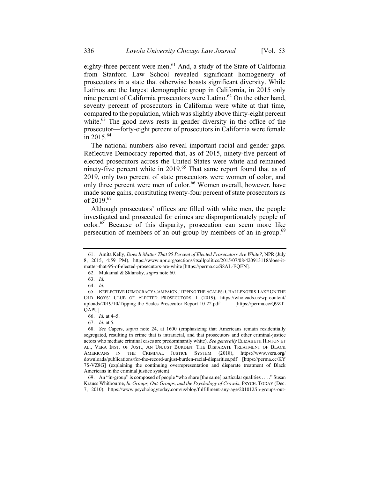eighty-three percent were men.<sup>61</sup> And, a study of the State of California from Stanford Law School revealed significant homogeneity of prosecutors in a state that otherwise boasts significant diversity. While Latinos are the largest demographic group in California, in 2015 only nine percent of California prosecutors were Latino.<sup>62</sup> On the other hand, seventy percent of prosecutors in California were white at that time, compared to the population, which was slightly above thirty-eight percent white. $^{63}$  The good news rests in gender diversity in the office of the prosecutor—forty-eight percent of prosecutors in California were female in 2015.<sup>64</sup>

The national numbers also reveal important racial and gender gaps. Reflective Democracy reported that, as of 2015, ninety-five percent of elected prosecutors across the United States were white and remained ninety-five percent white in 2019.<sup>65</sup> That same report found that as of 2019, only two percent of state prosecutors were women of color, and only three percent were men of color.<sup>66</sup> Women overall, however, have made some gains, constituting twenty-four percent of state prosecutors as of  $2019^{67}$ 

Although prosecutors' offices are filled with white men, the people investigated and prosecuted for crimes are disproportionately people of color.<sup>68</sup> Because of this disparity, prosecution can seem more like persecution of members of an out-group by members of an in-group.<sup>69</sup>

<sup>61.</sup> Amita Kelly, Does It Matter That 95 Percent of Elected Prosecutors Are White?, NPR (July 8, 2015, 4:59 PM), https://www.npr.org/sections/itsallpolitics/2015/07/08/420913118/does-itmatter-that-95-of-elected-prosecutors-are-white [https://perma.cc/S8AL-EQEN].

<sup>62.</sup> Mukamal & Sklansky, supra note 60.

<sup>63.</sup> Id.

<sup>64.</sup> Id.

<sup>65.</sup> REFLECTIVE DEMOCRACY CAMPAIGN, TIPPING THE SCALES: CHALLENGERS TAKE ON THE OLD BOYS' CLUB OF ELECTED PROSECUTORS 1 (2019), https://wholeads.us/wp-content/ uploads/2019/10/Tipping-the-Scales-Prosecutor-Report-10-22.pdf [https://perma.cc/Q9ZT-QAPU].

<sup>66.</sup> Id. at 4–5.

<sup>67.</sup> Id. at 5.

<sup>68.</sup> See Capers, supra note 24, at 1600 (emphasizing that Americans remain residentially segregated, resulting in crime that is intraracial, and that prosecutors and other criminal-justice actors who mediate criminal cases are predominantly white). See generally ELIZABETH HINTON ET AL., VERA INST. OF JUST., AN UNJUST BURDEN: THE DISPARATE TREATMENT OF BLACK AMERICANS IN THE CRIMINAL JUSTICE SYSTEM (2018), https://www.vera.org/ downloads/publications/for-the-record-unjust-burden-racial-disparities.pdf [https://perma.cc/KY 7S-VZ8G] (explaining the continuing overrepresentation and disparate treatment of Black Americans in the criminal justice system).

<sup>69.</sup> An "in-group" is composed of people "who share [the same] particular qualities . . . ." Susan Krauss Whitbourne, In-Groups, Out-Groups, and the Psychology of Crowds, PSYCH. TODAY (Dec. 7, 2010), https://www.psychologytoday.com/us/blog/fulfillment-any-age/201012/in-groups-out-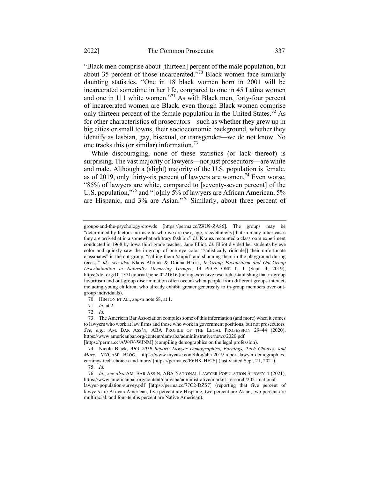"Black men comprise about [thirteen] percent of the male population, but about 35 percent of those incarcerated."<sup>70</sup> Black women face similarly daunting statistics. "One in 18 black women born in 2001 will be incarcerated sometime in her life, compared to one in 45 Latina women and one in 111 white women."<sup>71</sup> As with Black men, forty-four percent of incarcerated women are Black, even though Black women comprise only thirteen percent of the female population in the United States.<sup>72</sup> As for other characteristics of prosecutors—such as whether they grew up in big cities or small towns, their socioeconomic background, whether they identify as lesbian, gay, bisexual, or transgender—we do not know. No one tracks this (or similar) information.<sup>73</sup>

While discouraging, none of these statistics (or lack thereof) is surprising. The vast majority of lawyers—not just prosecutors—are white and male. Although a (slight) majority of the U.S. population is female, as of 2019, only thirty-six percent of lawyers are women.<sup>74</sup> Even worse, "85% of lawyers are white, compared to [seventy-seven percent] of the U.S. population,"<sup>75</sup> and "[o]nly 5% of lawyers are African American, 5% are Hispanic, and 3% are Asian."<sup>76</sup> Similarly, about three percent of

groups-and-the-psychology-crowds [https://perma.cc/Z9U9-ZA86]. The groups may be "determined by factors intrinsic to who we are (sex, age, race/ethnicity) but in many other cases they are arrived at in a somewhat arbitrary fashion." Id. Krauss recounted a classroom experiment conducted in 1968 by Iowa third-grade teacher, Jane Elliot. Id. Elliot divided her students by eye color and quickly saw the in-group of one eye color "sadistically ridicule[] their unfortunate classmates" in the out-group, "calling them 'stupid' and shunning them in the playground during recess." Id.; see also Klaus Abbink & Donna Harris, In-Group Favouritism and Out-Group Discrimination in Naturally Occurring Groups, 14 PLOS ONE 1, 1 (Sept. 4, 2019), https://doi.org/10.1371/journal.pone.0221616 (noting extensive research establishing that in-group favoritism and out-group discrimination often occurs when people from different groups interact, including young children, who already exhibit greater generosity to in-group members over outgroup individuals).

<sup>70.</sup> HINTON ET AL., supra note 68, at 1.

<sup>71.</sup> Id. at 2.

<sup>72.</sup> Id.

<sup>73.</sup> The American Bar Association compiles some of this information (and more) when it comes to lawyers who work at law firms and those who work in government positions, but not prosecutors. See, e.g., AM. BAR ASS'N, ABA PROFILE OF THE LEGAL PROFESSION 29-44 (2020), https://www.americanbar.org/content/dam/aba/admininstrative/news/2020.pdf

<sup>[</sup>https://perma.cc/AW4V-WJNM] (compiling demographics on the legal profession).

<sup>74.</sup> Nicole Black, ABA 2019 Report: Lawyer Demographics, Earnings, Tech Choices, and More, MYCASE BLOG, https://www.mycase.com/blog/aba-2019-report-lawyer-demographicsearnings-tech-choices-and-more/ [https://perma.cc/E6HK-HF2S] (last visited Sept. 21, 2021).

<sup>75.</sup> Id.

<sup>76.</sup> Id.; see also AM. BAR ASS'N, ABA NATIONAL LAWYER POPULATION SURVEY 4 (2021), https://www.americanbar.org/content/dam/aba/administrative/market\_research/2021-nationallawyer-population-survey.pdf [https://perma.cc/77C2-DZS7] (reporting that five percent of lawyers are African American, five percent are Hispanic, two percent are Asian, two percent are multiracial, and four-tenths percent are Native American).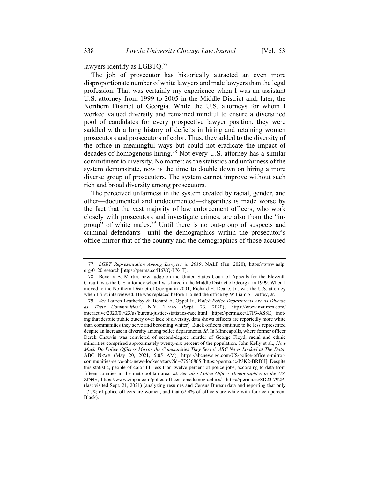lawyers identify as LGBTQ.<sup>77</sup>

The job of prosecutor has historically attracted an even more disproportionate number of white lawyers and male lawyers than the legal profession. That was certainly my experience when I was an assistant U.S. attorney from 1999 to 2005 in the Middle District and, later, the Northern District of Georgia. While the U.S. attorneys for whom I worked valued diversity and remained mindful to ensure a diversified pool of candidates for every prospective lawyer position, they were saddled with a long history of deficits in hiring and retaining women prosecutors and prosecutors of color. Thus, they added to the diversity of the office in meaningful ways but could not eradicate the impact of decades of homogenous hiring.<sup>78</sup> Not every U.S. attorney has a similar commitment to diversity. No matter; as the statistics and unfairness of the system demonstrate, now is the time to double down on hiring a more diverse group of prosecutors. The system cannot improve without such rich and broad diversity among prosecutors.

The perceived unfairness in the system created by racial, gender, and other—documented and undocumented—disparities is made worse by the fact that the vast majority of law enforcement officers, who work closely with prosecutors and investigate crimes, are also from the "ingroup" of white males.<sup>79</sup> Until there is no out-group of suspects and criminal defendants—until the demographics within the prosecutor's office mirror that of the country and the demographics of those accused

<sup>77.</sup> LGBT Representation Among Lawyers in 2019, NALP (Jan. 2020), https:\\www.nalp. org/0120research [https://perma.cc/H6VQ-LX4T].

<sup>78.</sup> Beverly B. Martin, now judge on the United States Court of Appeals for the Eleventh Circuit, was the U.S. attorney when I was hired in the Middle District of Georgia in 1999. When I moved to the Northern District of Georgia in 2001, Richard H. Deane, Jr., was the U.S. attorney when I first interviewed. He was replaced before I joined the office by William S. Duffey, Jr.

<sup>79.</sup> See Lauren Leatherby & Richard A. Oppel Jr., Which Police Departments Are as Diverse as Their Communities?, N.Y. TIMES (Sept. 23, 2020), https://www.nytimes.com/ interactive/2020/09/23/us/bureau-justice-statistics-race.html [https://perma.cc/L7P3-X88E] (noting that despite public outcry over lack of diversity, data shows officers are reportedly more white than communities they serve and becoming whiter). Black officers continue to be less represented despite an increase in diversity among police departments. Id. In Minneapolis, where former officer Derek Chauvin was convicted of second-degree murder of George Floyd, racial and ethnic minorities comprised approximately twenty-six percent of the population. John Kelly et al., How Much Do Police Officers Mirror the Communities They Serve? ABC News Looked at The Data, ABC NEWS (May 20, 2021, 5:05 AM), https://abcnews.go.com/US/police-officers-mirrorcommunities-serve-abc-news-looked/story?id=77536865 [https://perma.cc/P3K2-BRBH]. Despite this statistic, people of color fill less than twelve percent of police jobs, according to data from fifteen counties in the metropolitan area. Id. See also Police Officer Demographics in the US, ZIPPIA, https://www.zippia.com/police-officer-jobs/demographics/ [https://perma.cc/8D23-792P] (last visited Sept. 21, 2021) (analyzing resumes and Census Bureau data and reporting that only 17.7% of police officers are women, and that 62.4% of officers are white with fourteen percent Black).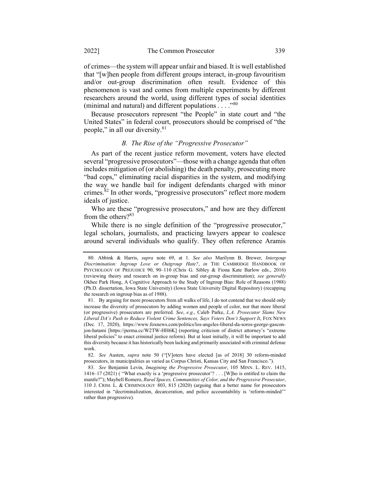of crimes—the system will appear unfair and biased. It is well established that "[w]hen people from different groups interact, in-group favouritism and/or out-group discrimination often result. Evidence of this phenomenon is vast and comes from multiple experiments by different researchers around the world, using different types of social identities (minimal and natural) and different populations  $\dots$ ."<sup>80</sup>

Because prosecutors represent "the People" in state court and "the United States" in federal court, prosecutors should be comprised of "the people," in all our diversity.<sup>81</sup>

# B. The Rise of the "Progressive Prosecutor"

As part of the recent justice reform movement, voters have elected several "progressive prosecutors"—those with a change agenda that often includes mitigation of (or abolishing) the death penalty, prosecuting more "bad cops," eliminating racial disparities in the system, and modifying the way we handle bail for indigent defendants charged with minor crimes.<sup>82</sup> In other words, "progressive prosecutors" reflect more modern ideals of justice.

Who are these "progressive prosecutors," and how are they different from the others?<sup>83</sup>

While there is no single definition of the "progressive prosecutor," legal scholars, journalists, and practicing lawyers appear to coalesce around several individuals who qualify. They often reference Aramis

<sup>80.</sup> Abbink & Harris, supra note 69, at 1. See also Marilynn B. Brewer, Intergoup Discrimination: Ingroup Love or Outgroup Hate?, in THE CAMBRIDGE HANDBOOK OF PSYCHOLOGY OF PREJUDICE 90, 90–110 (Chris G. Sibley & Fiona Kate Barlow eds., 2016) (reviewing theory and research on in-group bias and out-group discrimination); see generally Okhee Park Hong, A Cognitive Approach to the Study of Ingroup Bias: Role of Reasons (1988) (Ph.D. dissertation, Iowa State University) (Iowa State University Digital Repository) (recapping the research on ingroup bias as of 1988).

<sup>81.</sup> By arguing for more prosecutors from all walks of life, I do not contend that we should only increase the diversity of prosecutors by adding women and people of color, nor that more liberal (or progressive) prosecutors are preferred. See, e.g., Caleb Parke, L.A. Prosecutor Slams New Liberal DA's Push to Reduce Violent Crime Sentences, Says Voters Don't Support It, FOX NEWS (Dec. 17, 2020), https://www.foxnews.com/politics/los-angeles-liberal-da-soros-george-gasconjon-hatami [https://perma.cc/W2TW-HH6K] (reporting criticism of district attorney's "extreme liberal policies" to enact criminal justice reform). But at least initially, it will be important to add this diversity because it has historically been lacking and primarily associated with criminal defense work.

<sup>82.</sup> See Austen, supra note 50 ("[V]oters have elected [as of 2018] 30 reform-minded prosecutors, in municipalities as varied as Corpus Christi, Kansas City and San Francisco.").

<sup>83.</sup> See Benjamin Levin, Imagining the Progressive Prosecutor, 105 MINN. L. REV. 1415, 1416–17 (2021) ( "What exactly is a 'progressive prosecutor'? . . . [W]ho is entitled to claim the mantle?"); Maybell Romero, Rural Spaces, Communities of Color, and the Progressive Prosecutor, 110 J. CRIM. L. & CRIMINOLOGY 803, 815 (2020) (arguing that a better name for prosecutors interested in "decriminalization, decarceration, and police accountability is 'reform-minded'" rather than progressive).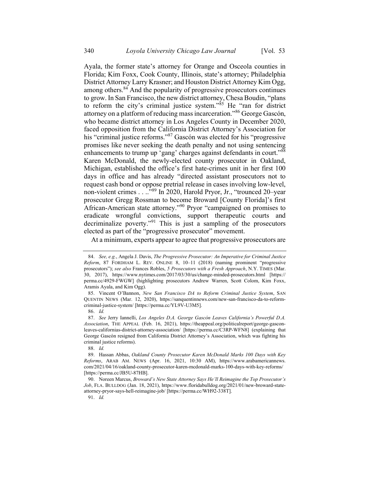Ayala, the former state's attorney for Orange and Osceola counties in Florida; Kim Foxx, Cook County, Illinois, state's attorney; Philadelphia District Attorney Larry Krasner; and Houston District Attorney Kim Ogg, among others.<sup>84</sup> And the popularity of progressive prosecutors continues to grow. In San Francisco, the new district attorney, Chesa Boudin, "plans to reform the city's criminal justice system."<sup>85</sup> He "ran for district attorney on a platform of reducing mass incarceration."<sup>86</sup> George Gascón, who became district attorney in Los Angeles County in December 2020, faced opposition from the California District Attorney's Association for his "criminal justice reforms."<sup>87</sup> Gascón was elected for his "progressive" promises like never seeking the death penalty and not using sentencing enhancements to trump up 'gang' charges against defendants in court."<sup>88</sup> Karen McDonald, the newly-elected county prosecutor in Oakland, Michigan, established the office's first hate-crimes unit in her first 100 days in office and has already "directed assistant prosecutors not to request cash bond or oppose pretrial release in cases involving low-level, non-violent crimes . . ..<sup>.,89</sup> In 2020, Harold Pryor, Jr., "trounced 20–year prosecutor Gregg Rossman to become Broward [County Florida]'s first African-American state attorney."<sup>90</sup> Pryor "campaigned on promises to eradicate wrongful convictions, support therapeutic courts and decriminalize poverty."<sup>91</sup> This is just a sampling of the prosecutors elected as part of the "progressive prosecutor" movement.

At a minimum, experts appear to agree that progressive prosecutors are

91. Id.

<sup>84.</sup> See, e.g., Angela J. Davis, The Progressive Prosecutor: An Imperative for Criminal Justice Reform, 87 FORDHAM L. REV. ONLINE 8, 10–11 (2018) (naming prominent "progressive prosecutors"); see also Frances Robles, 5 Prosecutors with a Fresh Approach, N.Y. TIMES (Mar. 30, 2017), https://www.nytimes.com/2017/03/30/us/change-minded-prosecutors.html [https:// perma.cc/4929-FWGW] (highlighting prosecutors Andrew Warren, Scott Colom, Kim Foxx, Aramis Ayala, and Kim Ogg).

<sup>85.</sup> Vincent O'Bannon, New San Francisco DA to Reform Criminal Justice System, SAN QUENTIN NEWS (Mar. 12, 2020), https://sanquentinnews.com/new-san-francisco-da-to-reformcriminal-justice-system/ [https://perma.cc/YL9V-U3M5].

<sup>86.</sup> Id.

<sup>87.</sup> See Jerry Iannelli, Los Angeles D.A. George Gascón Leaves California's Powerful D.A. Association, THE APPEAL (Feb. 16, 2021), https://theappeal.org/politicalreport/george-gasconleaves-californias-district-attorney-association/ [https://perma.cc/C3RP-WFN8] (explaining that George Gascón resigned from California District Attorney's Association, which was fighting his criminal justice reforms).

<sup>88.</sup> Id.

<sup>89.</sup> Hassan Abbas, Oakland County Prosecutor Karen McDonald Marks 100 Days with Key Reforms, ARAB AM. NEWS (Apr. 16, 2021, 10:30 AM), https://www.arabamericannews. com/2021/04/16/oakland-county-prosecutor-karen-mcdonald-marks-100-days-with-key-reforms/ [https://perma.cc/JB5U-87HB].

<sup>90.</sup> Noreen Marcus, Broward's New State Attorney Says He'll Reimagine the Top Prosecutor's Job, FLA. BULLDOG (Jan. 18, 2021), https://www.floridabulldog.org/2021/01/new-broward-stateattorney-pryor-says-hell-reimagine-job/ [https://perma.cc/WH92-338T].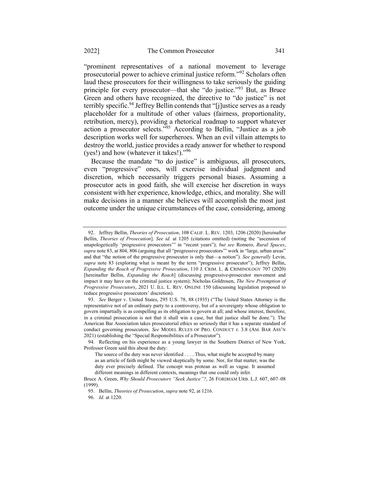"prominent representatives of a national movement to leverage prosecutorial power to achieve criminal justice reform."<sup>92</sup> Scholars often laud these prosecutors for their willingness to take seriously the guiding principle for every prosecutor—that she "do justice."<sup>93</sup> But, as Bruce Green and others have recognized, the directive to "do justice" is not terribly specific.<sup>94</sup> Jeffrey Bellin contends that "[j]ustice serves as a ready placeholder for a multitude of other values (fairness, proportionality, retribution, mercy), providing a rhetorical roadmap to support whatever action a prosecutor selects."<sup>95</sup> According to Bellin, "Justice as a job description works well for superheroes. When an evil villain attempts to destroy the world, justice provides a ready answer for whether to respond (yes!) and how (whatever it takes!)."96

Because the mandate "to do justice" is ambiguous, all prosecutors, even "progressive" ones, will exercise individual judgment and discretion, which necessarily triggers personal biases. Assuming a prosecutor acts in good faith, she will exercise her discretion in ways consistent with her experience, knowledge, ethics, and morality. She will make decisions in a manner she believes will accomplish the most just outcome under the unique circumstances of the case, considering, among

<sup>92.</sup> Jeffrey Bellin, Theories of Prosecution, 108 CALIF. L. REV. 1203, 1206 (2020) [hereinafter Bellin, Theories of Prosecution]. See id. at 1205 (citations omitted) (noting the "ascension of unapologetically 'progressive prosecutors'" in "recent years"); but see Romero, Rural Spaces, supra note 83, at 804, 806 (arguing that all "progressive prosecutors" work in "large, urban areas" and that "the notion of the progressive prosecutor is only that—a notion"). See generally Levin, supra note 83 (exploring what is meant by the term "progressive prosecutor"); Jeffrey Bellin, Expanding the Reach of Progressive Prosecution, 110 J. CRIM. L. & CRIMINOLOGY 707 (2020) [hereinafter Bellin, *Expanding the Reach*] (discussing progressive-prosecutor movement and impact it may have on the criminal justice system); Nicholas Goldrosen, The New Preemption of Progressive Prosecutors, 2021 U. ILL. L. REV. ONLINE 150 (discussing legislation proposed to reduce progressive prosecutors' discretion).

<sup>93.</sup> See Berger v. United States, 295 U.S. 78, 88 (1935) ("The United States Attorney is the representative not of an ordinary party to a controversy, but of a sovereignty whose obligation to govern impartially is as compelling as its obligation to govern at all; and whose interest, therefore, in a criminal prosecution is not that it shall win a case, but that justice shall be done."). The American Bar Association takes prosecutorial ethics so seriously that it has a separate standard of conduct governing prosecutors. See MODEL RULES OF PRO. CONDUCT r. 3.8 (AM. BAR ASS'N 2021) (establishing the "Special Responsibilities of a Prosecutor").

<sup>94.</sup> Reflecting on his experience as a young lawyer in the Southern District of New York, Professor Green said this about the duty:

The source of the duty was never identified . . . . Thus, what might be accepted by many as an article of faith might be viewed skeptically by some. Nor, for that matter, was the duty ever precisely defined. The concept was protean as well as vague. It assumed different meanings in different contexts, meanings that one could only infer.

Bruce A. Green, Why Should Prosecutors "Seek Justice"?, 26 FORDHAM URB. L.J. 607, 607–08 (1999).

<sup>95.</sup> Bellin, Theories of Prosecution, supra note 92, at 1216.

<sup>96.</sup> Id. at 1220.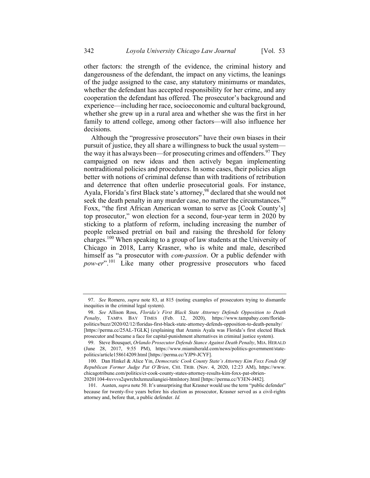other factors: the strength of the evidence, the criminal history and dangerousness of the defendant, the impact on any victims, the leanings of the judge assigned to the case, any statutory minimums or mandates, whether the defendant has accepted responsibility for her crime, and any cooperation the defendant has offered. The prosecutor's background and experience—including her race, socioeconomic and cultural background, whether she grew up in a rural area and whether she was the first in her family to attend college, among other factors—will also influence her decisions.

Although the "progressive prosecutors" have their own biases in their pursuit of justice, they all share a willingness to buck the usual system the way it has always been—for prosecuting crimes and offenders.<sup>97</sup> They campaigned on new ideas and then actively began implementing nontraditional policies and procedures. In some cases, their policies align better with notions of criminal defense than with traditions of retribution and deterrence that often underlie prosecutorial goals. For instance, Ayala, Florida's first Black state's attorney,<sup>98</sup> declared that she would not seek the death penalty in any murder case, no matter the circumstances.<sup>99</sup> Foxx, "the first African American woman to serve as [Cook County's] top prosecutor," won election for a second, four-year term in 2020 by sticking to a platform of reform, including increasing the number of people released pretrial on bail and raising the threshold for felony charges.<sup>100</sup> When speaking to a group of law students at the University of Chicago in 2018, Larry Krasner, who is white and male, described himself as "a prosecutor with *com-passion*. Or a public defender with pow-er".<sup>101</sup> Like many other progressive prosecutors who faced

<sup>97.</sup> See Romero, *supra* note 83, at 815 (noting examples of prosecutors trying to dismantle inequities in the criminal legal system).

<sup>98.</sup> See Allison Ross, Florida's First Black State Attorney Defends Opposition to Death Penalty, TAMPA BAY TIMES (Feb. 12, 2020), https://www.tampabay.com/floridapolitics/buzz/2020/02/12/floridas-first-black-state-attorney-defends-opposition-to-death-penalty/ [https://perma.cc/25AL-TGLK] (explaining that Aramis Ayala was Florida's first elected Black prosecutor and became a face for capital-punishment alternatives in criminal justice system).

<sup>99.</sup> Steve Bousquet, Orlando Prosecutor Defends Stance Against Death Penalty, MIA. HERALD (June 28, 2017, 9:55 PM), https://www.miamiherald.com/news/politics-government/statepolitics/article158614209.html [https://perma.cc/YJP9-JCYF].

<sup>100.</sup> Dan Hinkel & Alice Yin, Democratic Cook County State's Attorney Kim Foxx Fends Off Republican Former Judge Pat O'Brien, CHI. TRIB. (Nov. 4, 2020, 12:23 AM), https://www. chicagotribune.com/politics/ct-cook-county-states-attorney-results-kim-foxx-pat-obrien-20201104-4xvvvs2qwrchxhzmzaliangiei-htmlstory.html [https://perma.cc/Y3EN-J482].

<sup>101.</sup> Austen, *supra* note 50. It's unsurprising that Krasner would use the term "public defender" because for twenty-five years before his election as prosecutor, Krasner served as a civil-rights attorney and, before that, a public defender. Id.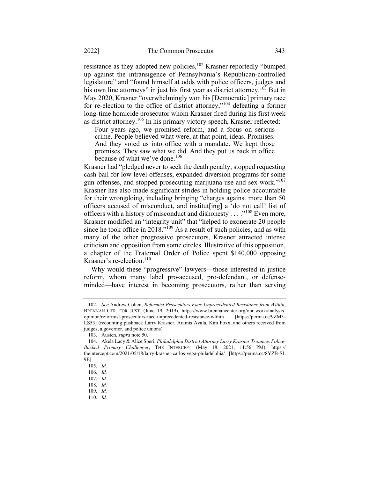resistance as they adopted new policies,<sup>102</sup> Krasner reportedly "bumped up against the intransigence of Pennsylvania's Republican-controlled legislature" and "found himself at odds with police officers, judges and his own line attorneys" in just his first year as district attorney.<sup>103</sup> But in May 2020, Krasner "overwhelmingly won his [Democratic] primary race for re-election to the office of district attorney,"<sup>104</sup> defeating a former long-time homicide prosecutor whom Krasner fired during his first week as district attorney.<sup>105</sup> In his primary victory speech, Krasner reflected:

Four years ago, we promised reform, and a focus on serious crime. People believed what were, at that point, ideas. Promises. And they voted us into office with a mandate. We kept those promises. They saw what we did. And they put us back in office because of what we've done.<sup>106</sup>

Krasner had "pledged never to seek the death penalty, stopped requesting cash bail for low-level offenses, expanded diversion programs for some gun offenses, and stopped prosecuting marijuana use and sex work."<sup>107</sup> Krasner has also made significant strides in holding police accountable for their wrongdoing, including bringing "charges against more than 50 officers accused of misconduct, and institut[ing] a 'do not call' list of officers with a history of misconduct and dishonesty  $\dots$ <sup>108</sup> Even more, Krasner modified an "integrity unit" that "helped to exonerate 20 people since he took office in 2018."<sup>109</sup> As a result of such policies, and as with many of the other progressive prosecutors, Krasner attracted intense criticism and opposition from some circles. Illustrative of this opposition, a chapter of the Fraternal Order of Police spent \$140,000 opposing Krasner's re-election. $110$ 

Why would these "progressive" lawyers—those interested in justice reform, whom many label pro-accused, pro-defendant, or defenseminded—have interest in becoming prosecutors, rather than serving

<sup>102.</sup> See Andrew Cohen, Reformist Prosecutors Face Unprecedented Resistance from Within, BRENNAN CTR. FOR JUST. (June 19, 2019), https://www.brennancenter.org/our-work/analysisopinion/reformist-prosecutors-face-unprecedented-resistance-within [https://perma.cc/9ZM3- LS53] (recounting pushback Larry Krasner, Aramis Ayala, Kim Foxx, and others received from judges, a governor, and police unions).

<sup>103.</sup> Austen, supra note 50.

<sup>104.</sup> Akela Lacy & Alice Speri, Philadelphia District Attorney Larry Krasner Trounces Police-Backed Primary Challenger, THE INTERCEPT (May 18, 2021, 11:56 PM), https:// theintercept.com/2021/05/18/larry-krasner-carlos-vega-philadelphia/ [https://perma.cc/8YZB-SL 9E].

<sup>105.</sup> Id.

<sup>106.</sup> Id.

<sup>107.</sup> Id.

<sup>108.</sup> Id.

<sup>109.</sup> Id.

<sup>110.</sup> Id.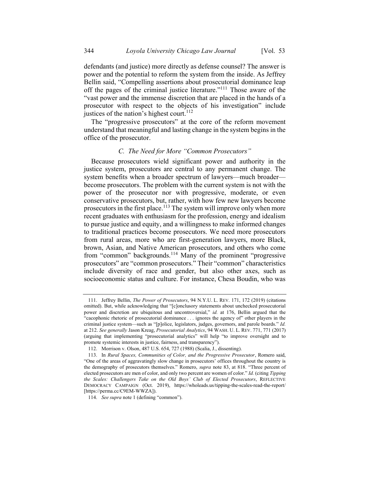defendants (and justice) more directly as defense counsel? The answer is power and the potential to reform the system from the inside. As Jeffrey Bellin said, "Compelling assertions about prosecutorial dominance leap off the pages of the criminal justice literature."<sup>111</sup> Those aware of the "vast power and the immense discretion that are placed in the hands of a prosecutor with respect to the objects of his investigation" include justices of the nation's highest court.<sup>112</sup>

The "progressive prosecutors" at the core of the reform movement understand that meaningful and lasting change in the system begins in the office of the prosecutor.

### C. The Need for More "Common Prosecutors"

Because prosecutors wield significant power and authority in the justice system, prosecutors are central to any permanent change. The system benefits when a broader spectrum of lawyers—much broader become prosecutors. The problem with the current system is not with the power of the prosecutor nor with progressive, moderate, or even conservative prosecutors, but, rather, with how few new lawyers become prosecutors in the first place.<sup>113</sup> The system will improve only when more recent graduates with enthusiasm for the profession, energy and idealism to pursue justice and equity, and a willingness to make informed changes to traditional practices become prosecutors. We need more prosecutors from rural areas, more who are first-generation lawyers, more Black, brown, Asian, and Native American prosecutors, and others who come from "common" backgrounds.<sup>114</sup> Many of the prominent "progressive prosecutors" are "common prosecutors." Their "common" characteristics include diversity of race and gender, but also other axes, such as socioeconomic status and culture. For instance, Chesa Boudin, who was

<sup>111.</sup> Jeffrey Bellin, The Power of Prosecutors, 94 N.Y.U. L. REV. 171, 172 (2019) (citations omitted). But, while acknowledging that "[c]onclusory statements about unchecked prosecutorial power and discretion are ubiquitous and uncontroversial," id. at 176, Bellin argued that the "cacophonic rhetoric of prosecutorial dominance . . . ignores the agency of" other players in the criminal justice system—such as "[p]olice, legislators, judges, governors, and parole boards." Id. at 212. See generally Jason Kreag, Prosecutorial Analytics, 94 WASH. U. L. REV. 771, 771 (2017) (arguing that implementing "prosecutorial analytics" will help "to improve oversight and to promote systemic interests in justice, fairness, and transparency").

<sup>112.</sup> Morrison v. Olson, 487 U.S. 654, 727 (1988) (Scalia, J., dissenting).

<sup>113.</sup> In Rural Spaces, Communities of Color, and the Progressive Prosecutor, Romero said, "One of the areas of aggravatingly slow change in prosecutors' offices throughout the country is the demography of prosecutors themselves." Romero, *supra* note 83, at 818. "Three percent of elected prosecutors are men of color, and only two percent are women of color." Id. (citing Tipping the Scales: Challengers Take on the Old Boys' Club of Elected Prosecutors, REFLECTIVE DEMOCRACY CAMPAIGN (Oct. 2019), https://wholeads.us/tipping-the-scales-read-the-report/ [https://perma.cc/C9EM-WWZA]).

<sup>114.</sup> See supra note 1 (defining "common").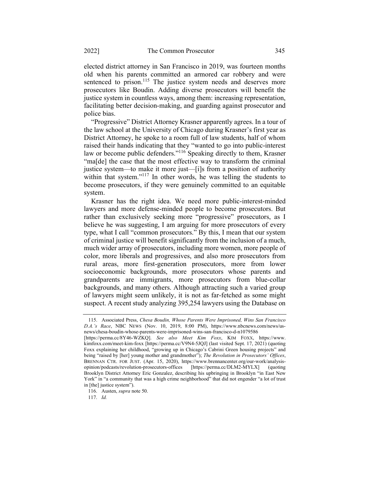elected district attorney in San Francisco in 2019, was fourteen months old when his parents committed an armored car robbery and were sentenced to prison.<sup>115</sup> The justice system needs and deserves more prosecutors like Boudin. Adding diverse prosecutors will benefit the justice system in countless ways, among them: increasing representation, facilitating better decision-making, and guarding against prosecutor and police bias.

"Progressive" District Attorney Krasner apparently agrees. In a tour of the law school at the University of Chicago during Krasner's first year as District Attorney, he spoke to a room full of law students, half of whom raised their hands indicating that they "wanted to go into public-interest law or become public defenders."<sup>116</sup> Speaking directly to them, Krasner "ma[de] the case that the most effective way to transform the criminal justice system—to make it more just—[i]s from a position of authority within that system."<sup>117</sup> In other words, he was telling the students to become prosecutors, if they were genuinely committed to an equitable system.

Krasner has the right idea. We need more public-interest-minded lawyers and more defense-minded people to become prosecutors. But rather than exclusively seeking more "progressive" prosecutors, as I believe he was suggesting, I am arguing for more prosecutors of every type, what I call "common prosecutors." By this, I mean that our system of criminal justice will benefit significantly from the inclusion of a much, much wider array of prosecutors, including more women, more people of color, more liberals and progressives, and also more prosecutors from rural areas, more first-generation prosecutors, more from lower socioeconomic backgrounds, more prosecutors whose parents and grandparents are immigrants, more prosecutors from blue-collar backgrounds, and many others. Although attracting such a varied group of lawyers might seem unlikely, it is not as far-fetched as some might suspect. A recent study analyzing 395,254 lawyers using the Database on

117. Id.

<sup>115.</sup> Associated Press, Chesa Boudin, Whose Parents Were Imprisoned, Wins San Francisco D.A.'s Race, NBC NEWS (Nov. 10, 2019, 8:00 PM), https://www.nbcnews.com/news/usnews/chesa-boudin-whose-parents-were-imprisoned-wins-san-francisco-d-n1079586

<sup>[</sup>https://perma.cc/8Y46-WZKQ]. See also Meet Kim Foxx, KIM FOXX, https://www. kimfoxx.com/meet-kim-foxx [https://perma.cc/V9N4-5JQJ] (last visited Sept. 17, 2021) (quoting Foxx explaining her childhood, "growing up in Chicago's Cabrini Green housing projects" and being "raised by [her] young mother and grandmother"); The Revolution in Prosecutors' Offices, BRENNAN CTR. FOR JUST. (Apr. 15, 2020), https://www.brennancenter.org/our-work/analysisopinion/podcasts/revolution-prosecutors-offices [https://perma.cc/DLM2-MYLX] (quoting Brooklyn District Attorney Eric Gonzalez, describing his upbringing in Brooklyn "in East New York" in "a community that was a high crime neighborhood" that did not engender "a lot of trust in [the] justice system").

<sup>116.</sup> Austen, supra note 50.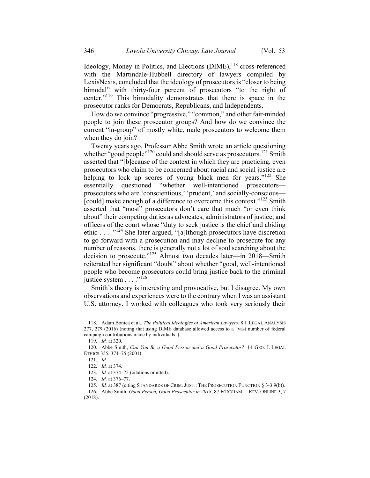Ideology, Money in Politics, and Elections  $(DIME)$ ,  $^{118}$  cross-referenced with the Martindale-Hubbell directory of lawyers compiled by LexisNexis, concluded that the ideology of prosecutors is "closer to being bimodal" with thirty-four percent of prosecutors "to the right of center."<sup>119</sup> This bimodality demonstrates that there is space in the prosecutor ranks for Democrats, Republicans, and Independents.

How do we convince "progressive," "common," and other fair-minded people to join these prosecutor groups? And how do we convince the current "in-group" of mostly white, male prosecutors to welcome them when they do join?

Twenty years ago, Professor Abbe Smith wrote an article questioning whether "good people"<sup>120</sup> could and should serve as prosecutors.<sup>121</sup> Smith asserted that "[b]ecause of the context in which they are practicing, even prosecutors who claim to be concerned about racial and social justice are helping to lock up scores of young black men for years." $122$  She essentially questioned "whether well-intentioned prosecutors prosecutors who are 'conscientious,' 'prudent,' and socially-conscious— [could] make enough of a difference to overcome this context."<sup>123</sup> Smith asserted that "most" prosecutors don't care that much "or even think about" their competing duties as advocates, administrators of justice, and officers of the court whose "duty to seek justice is the chief and abiding ethic . . . ."<sup>124</sup> She later argued, "[a]lthough prosecutors have discretion to go forward with a prosecution and may decline to prosecute for any number of reasons, there is generally not a lot of soul searching about the decision to prosecute."<sup>125</sup> Almost two decades later—in 2018—Smith reiterated her significant "doubt" about whether "good, well-intentioned people who become prosecutors could bring justice back to the criminal justice system  $\ldots$ ."<sup>126</sup>

Smith's theory is interesting and provocative, but I disagree. My own observations and experiences were to the contrary when I was an assistant U.S. attorney. I worked with colleagues who took very seriously their

<sup>118.</sup> Adam Bonica et al., The Political Ideologies of American Lawyers, 8 J. LEGAL ANALYSIS 277, 279 (2016) (noting that using DIME database allowed access to a "vast number of federal campaign contributions made by individuals").

<sup>119.</sup> Id. at 320.

<sup>120.</sup> Abbe Smith, Can You Be a Good Person and a Good Prosecutor?, 14 GEO. J. LEGAL ETHICS 355, 374–75 (2001).

<sup>121.</sup> Id.

<sup>122.</sup> Id. at 374.

<sup>123.</sup> Id. at 374–75 (citations omitted).

<sup>124.</sup> Id. at 376–77.

<sup>125.</sup> Id. at 387 (citing STANDARDS OF CRIM. JUST.: THE PROSECUTION FUNCTION § 3-3.9(b)).

<sup>126.</sup> Abbe Smith, Good Person, Good Prosecutor in 2018, 87 FORDHAM L. REV. ONLINE 3, 7 (2018).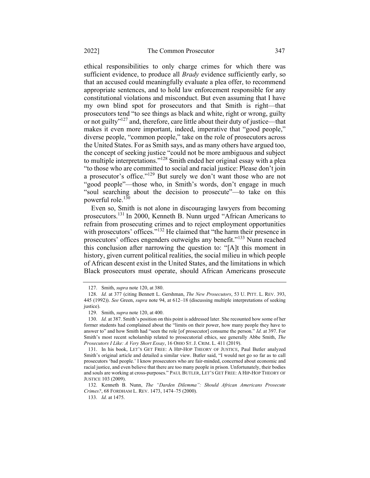ethical responsibilities to only charge crimes for which there was sufficient evidence, to produce all *Brady* evidence sufficiently early, so that an accused could meaningfully evaluate a plea offer, to recommend appropriate sentences, and to hold law enforcement responsible for any constitutional violations and misconduct. But even assuming that I have my own blind spot for prosecutors and that Smith is right—that prosecutors tend "to see things as black and white, right or wrong, guilty or not guilty"<sup>127</sup> and, therefore, care little about their duty of justice—that makes it even more important, indeed, imperative that "good people," diverse people, "common people," take on the role of prosecutors across the United States. For as Smith says, and as many others have argued too, the concept of seeking justice "could not be more ambiguous and subject to multiple interpretations."<sup>128</sup> Smith ended her original essay with a plea "to those who are committed to social and racial justice: Please don't join a prosecutor's office."<sup>129</sup> But surely we don't want those who are not "good people"—those who, in Smith's words, don't engage in much "soul searching about the decision to prosecute"—to take on this powerful role.<sup>130</sup>

Even so, Smith is not alone in discouraging lawyers from becoming prosecutors.<sup>131</sup> In 2000, Kenneth B. Nunn urged "African Americans to refrain from prosecuting crimes and to reject employment opportunities with prosecutors' offices."<sup>132</sup> He claimed that "the harm their presence in prosecutors' offices engenders outweighs any benefit."<sup>133</sup> Nunn reached this conclusion after narrowing the question to: "[A]t this moment in history, given current political realities, the social milieu in which people of African descent exist in the United States, and the limitations in which Black prosecutors must operate, should African Americans prosecute

<sup>127.</sup> Smith, supra note 120, at 380.

<sup>128.</sup> Id. at 377 (citing Bennett L. Gershman, The New Prosecutors, 53 U. PITT. L. REV. 393, 445 (1992)). See Green, supra note 94, at 612-18 (discussing multiple interpretations of seeking justice).

<sup>129.</sup> Smith, supra note 120, at 400.

<sup>130.</sup> Id. at 387. Smith's position on this point is addressed later. She recounted how some of her former students had complained about the "limits on their power, how many people they have to answer to" and how Smith had "seen the role [of prosecutor] consume the person." Id. at 397. For Smith's most recent scholarship related to prosecutorial ethics, see generally Abbe Smith, The Prosecutors I Like: A Very Short Essay, 16 OHIO ST. J. CRIM. L. 411 (2019).

<sup>131.</sup> In his book, LET'S GET FREE: A HIP-HOP THEORY OF JUSTICE, Paul Butler analyzed Smith's original article and detailed a similar view. Butler said, "I would not go so far as to call prosecutors 'bad people.' I know prosecutors who are fair-minded, concerned about economic and racial justice, and even believe that there are too many people in prison. Unfortunately, their bodies and souls are working at cross-purposes." PAUL BUTLER, LET'S GET FREE: A HIP-HOP THEORY OF JUSTICE 103 (2009).

<sup>132.</sup> Kenneth B. Nunn, The "Darden Dilemma": Should African Americans Prosecute Crimes?, 68 FORDHAM L. REV. 1473, 1474–75 (2000).

<sup>133.</sup> Id. at 1475.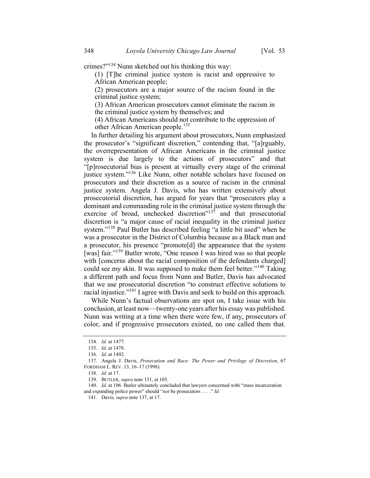crimes?"<sup>134</sup> Nunn sketched out his thinking this way:

(1) [T]he criminal justice system is racist and oppressive to African American people;

(2) prosecutors are a major source of the racism found in the criminal justice system;

(3) African American prosecutors cannot eliminate the racism in the criminal justice system by themselves; and

(4) African Americans should not contribute to the oppression of other African American people.<sup>135</sup>

In further detailing his argument about prosecutors, Nunn emphasized the prosecutor's "significant discretion," contending that, "[a]rguably, the overrepresentation of African Americans in the criminal justice system is due largely to the actions of prosecutors" and that "[p]rosecutorial bias is present at virtually every stage of the criminal justice system."<sup>136</sup> Like Nunn, other notable scholars have focused on prosecutors and their discretion as a source of racism in the criminal justice system. Angela J. Davis, who has written extensively about prosecutorial discretion, has argued for years that "prosecutors play a dominant and commanding role in the criminal justice system through the exercise of broad, unchecked discretion"<sup>137</sup> and that prosecutorial discretion is "a major cause of racial inequality in the criminal justice system."<sup>138</sup> Paul Butler has described feeling "a little bit used" when he was a prosecutor in the District of Columbia because as a Black man and a prosecutor, his presence "promote[d] the appearance that the system [was] fair."<sup>139</sup> Butler wrote, "One reason I was hired was so that people with [concerns about the racial composition of the defendants charged] could see my skin. It was supposed to make them feel better."<sup>140</sup> Taking a different path and focus from Nunn and Butler, Davis has advocated that we use prosecutorial discretion "to construct effective solutions to racial injustice."<sup>141</sup> I agree with Davis and seek to build on this approach.

While Nunn's factual observations are spot on, I take issue with his conclusion, at least now—twenty-one years after his essay was published. Nunn was writing at a time when there were few, if any, prosecutors of color, and if progressive prosecutors existed, no one called them that.

<sup>134.</sup> Id. at 1477.

<sup>135.</sup> Id. at 1478.

<sup>136.</sup> Id. at 1492.

<sup>137.</sup> Angela J. Davis, Prosecution and Race: The Power and Privilege of Discretion, 67 FORDHAM L. REV. 13, 16–17 (1998).

<sup>138.</sup> Id. at 17.

<sup>139.</sup> BUTLER, supra note 131, at 105.

<sup>140.</sup> Id. at 106. Butler ultimately concluded that lawyers concerned with "mass incarceration and expanding police power" should "not be prosecutors . . . ." Id.

<sup>141.</sup> Davis, supra note 137, at 17.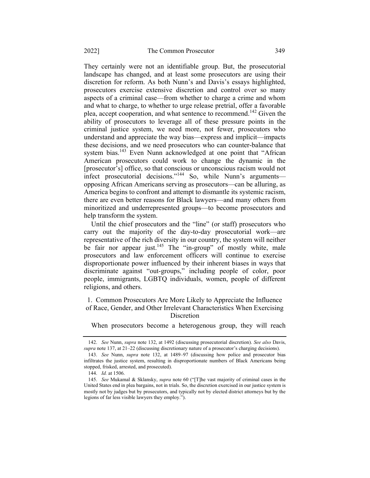They certainly were not an identifiable group. But, the prosecutorial landscape has changed, and at least some prosecutors are using their discretion for reform. As both Nunn's and Davis's essays highlighted, prosecutors exercise extensive discretion and control over so many aspects of a criminal case—from whether to charge a crime and whom and what to charge, to whether to urge release pretrial, offer a favorable plea, accept cooperation, and what sentence to recommend.<sup>142</sup> Given the ability of prosecutors to leverage all of these pressure points in the criminal justice system, we need more, not fewer, prosecutors who understand and appreciate the way bias—express and implicit—impacts these decisions, and we need prosecutors who can counter-balance that system bias.<sup>143</sup> Even Nunn acknowledged at one point that "African American prosecutors could work to change the dynamic in the [prosecutor's] office, so that conscious or unconscious racism would not infect prosecutorial decisions."<sup>144</sup> So, while Nunn's arguments opposing African Americans serving as prosecutors—can be alluring, as America begins to confront and attempt to dismantle its systemic racism, there are even better reasons for Black lawyers—and many others from minoritized and underrepresented groups—to become prosecutors and help transform the system.

Until the chief prosecutors and the "line" (or staff) prosecutors who carry out the majority of the day-to-day prosecutorial work—are representative of the rich diversity in our country, the system will neither be fair nor appear just.<sup>145</sup> The "in-group" of mostly white, male prosecutors and law enforcement officers will continue to exercise disproportionate power influenced by their inherent biases in ways that discriminate against "out-groups," including people of color, poor people, immigrants, LGBTQ individuals, women, people of different religions, and others.

1. Common Prosecutors Are More Likely to Appreciate the Influence of Race, Gender, and Other Irrelevant Characteristics When Exercising Discretion

When prosecutors become a heterogenous group, they will reach

<sup>142.</sup> See Nunn, supra note 132, at 1492 (discussing prosecutorial discretion). See also Davis, supra note 137, at 21–22 (discussing discretionary nature of a prosecutor's charging decisions).

<sup>143.</sup> See Nunn, supra note 132, at 1489–97 (discussing how police and prosecutor bias infiltrates the justice system, resulting in disproportionate numbers of Black Americans being stopped, frisked, arrested, and prosecuted).

<sup>144.</sup> Id. at 1506.

<sup>145.</sup> See Mukamal & Sklansky, supra note 60 ("[T]he vast majority of criminal cases in the United States end in plea bargains, not in trials. So, the discretion exercised in our justice system is mostly not by judges but by prosecutors, and typically not by elected district attorneys but by the legions of far less visible lawyers they employ.").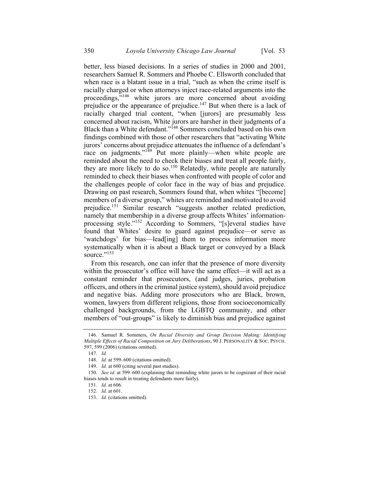better, less biased decisions. In a series of studies in 2000 and 2001, researchers Samuel R. Sommers and Phoebe C. Ellsworth concluded that when race is a blatant issue in a trial, "such as when the crime itself is racially charged or when attorneys inject race-related arguments into the proceedings,"<sup>146</sup> white jurors are more concerned about avoiding prejudice or the appearance of prejudice.<sup>147</sup> But when there is a lack of racially charged trial content, "when [jurors] are presumably less concerned about racism, White jurors are harsher in their judgments of a Black than a White defendant."<sup>148</sup> Sommers concluded based on his own findings combined with those of other researchers that "activating White jurors' concerns about prejudice attenuates the influence of a defendant's race on judgments."<sup>149</sup> Put more plainly—when white people are reminded about the need to check their biases and treat all people fairly, they are more likely to do so.<sup>150</sup> Relatedly, white people are naturally reminded to check their biases when confronted with people of color and the challenges people of color face in the way of bias and prejudice. Drawing on past research, Sommers found that, when whites "[become] members of a diverse group," whites are reminded and motivated to avoid prejudice.<sup>151</sup> Similar research "suggests another related prediction, namely that membership in a diverse group affects Whites' informationprocessing style."<sup>152</sup> According to Sommers, "[s]everal studies have found that Whites' desire to guard against prejudice—or serve as 'watchdogs' for bias—lead[ing] them to process information more systematically when it is about a Black target or conveyed by a Black source."<sup>153</sup>

From this research, one can infer that the presence of more diversity within the prosecutor's office will have the same effect—it will act as a constant reminder that prosecutors, (and judges, juries, probation officers, and others in the criminal justice system), should avoid prejudice and negative bias. Adding more prosecutors who are Black, brown, women, lawyers from different religions, those from socioeconomically challenged backgrounds, from the LGBTQ community, and other members of "out-groups" is likely to diminish bias and prejudice against

<sup>146.</sup> Samuel R. Sommers, On Racial Diversity and Group Decision Making: Identifying Multiple Effects of Racial Composition on Jury Deliberations, 90 J. PERSONALITY & SOC. PSYCH. 597, 599 (2006) (citations omitted).

<sup>147.</sup> Id.

<sup>148.</sup> *Id.* at 599–600 (citations omitted).

<sup>149.</sup> *Id.* at 600 (citing several past studies).

<sup>150.</sup> See id. at 599–600 (explaining that reminding white jurors to be cognizant of their racial biases tends to result in treating defendants more fairly).

<sup>151.</sup> Id. at 606.

<sup>152.</sup> Id. at 601.

<sup>153.</sup> Id. (citations omitted).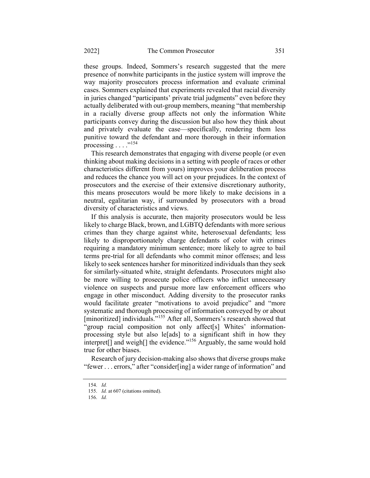these groups. Indeed, Sommers's research suggested that the mere presence of nonwhite participants in the justice system will improve the way majority prosecutors process information and evaluate criminal cases. Sommers explained that experiments revealed that racial diversity in juries changed "participants' private trial judgments" even before they actually deliberated with out-group members, meaning "that membership in a racially diverse group affects not only the information White participants convey during the discussion but also how they think about and privately evaluate the case—specifically, rendering them less punitive toward the defendant and more thorough in their information processing  $\ldots$  ...<sup>154</sup>

This research demonstrates that engaging with diverse people (or even thinking about making decisions in a setting with people of races or other characteristics different from yours) improves your deliberation process and reduces the chance you will act on your prejudices. In the context of prosecutors and the exercise of their extensive discretionary authority, this means prosecutors would be more likely to make decisions in a neutral, egalitarian way, if surrounded by prosecutors with a broad diversity of characteristics and views.

If this analysis is accurate, then majority prosecutors would be less likely to charge Black, brown, and LGBTQ defendants with more serious crimes than they charge against white, heterosexual defendants; less likely to disproportionately charge defendants of color with crimes requiring a mandatory minimum sentence; more likely to agree to bail terms pre-trial for all defendants who commit minor offenses; and less likely to seek sentences harsher for minoritized individuals than they seek for similarly-situated white, straight defendants. Prosecutors might also be more willing to prosecute police officers who inflict unnecessary violence on suspects and pursue more law enforcement officers who engage in other misconduct. Adding diversity to the prosecutor ranks would facilitate greater "motivations to avoid prejudice" and "more systematic and thorough processing of information conveyed by or about [minoritized] individuals."<sup>155</sup> After all, Sommers's research showed that "group racial composition not only affect[s] Whites' informationprocessing style but also le[ads] to a significant shift in how they  $\frac{1}{2}$  interpret<sup>[]</sup> and weigh<sup>[]</sup> the evidence."<sup>156</sup> Arguably, the same would hold true for other biases.

Research of jury decision-making also shows that diverse groups make "fewer . . . errors," after "consider[ing] a wider range of information" and

<sup>154.</sup> Id.

<sup>155.</sup> Id. at 607 (citations omitted).

<sup>156.</sup> Id.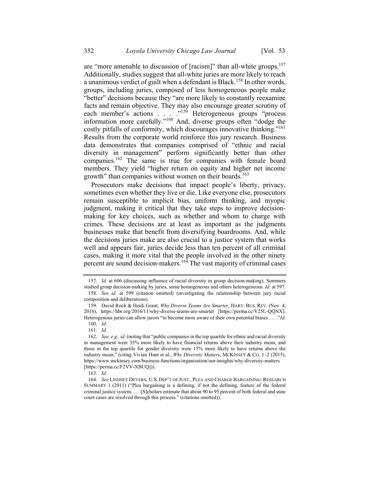are "more amenable to discussion of [racism]" than all-white groups.<sup>157</sup> Additionally, studies suggest that all-white juries are more likely to reach a unanimous verdict of guilt when a defendant is Black.<sup>158</sup> In other words, groups, including juries, composed of less homogeneous people make "better" decisions because they "are more likely to constantly reexamine facts and remain objective. They may also encourage greater scrutiny of each member's actions . . . ."<sup>159</sup> Heterogeneous groups "process information more carefully."<sup>160</sup> And, diverse groups often "dodge the costly pitfalls of conformity, which discourages innovative thinking."<sup>161</sup> Results from the corporate world reinforce this jury research. Business data demonstrates that companies comprised of "ethnic and racial diversity in management" perform significantly better than other companies.<sup>162</sup> The same is true for companies with female board members. They yield "higher return on equity and higher net income growth" than companies without women on their boards.<sup>163</sup>

Prosecutors make decisions that impact people's liberty, privacy, sometimes even whether they live or die. Like everyone else, prosecutors remain susceptible to implicit bias, uniform thinking, and myopic judgment, making it critical that they take steps to improve decisionmaking for key choices, such as whether and whom to charge with crimes. These decisions are at least as important as the judgments businesses make that benefit from diversifying boardrooms. And, while the decisions juries make are also crucial to a justice system that works well and appears fair, juries decide less than ten percent of all criminal cases, making it more vital that the people involved in the other ninety percent are sound decision-makers.<sup>164</sup> The vast majority of criminal cases

161. Id.

163. Id.

<sup>157.</sup> Id. at 606 (discussing influence of racial diversity in group decision-making). Sommers studied group decision-making by juries, some homogeneous and others heterogeneous. *Id.* at 597.

<sup>158.</sup> See id. at 599 (citation omitted) (investigating the relationship between jury racial composition and deliberations).

<sup>159.</sup> David Rock & Heidi Grant, Why Diverse Teams Are Smarter, HARV. BUS. REV. (Nov. 4, 2016), https://hbr.org/2016/11/why-diverse-teams-are-smarter [https://perma.cc/V25L-QQNX]. Heterogenous juries can allow jurors "to become more aware of their own potential biases  $\dots$ "Id. 160. Id.

<sup>162.</sup> See, e.g., id. (noting that "public companies in the top quartile for ethnic and racial diversity in management were 35% more likely to have financial returns above their industry mean, and those in the top quartile for gender diversity were 15% more likely to have returns above the industry mean." (citing Vivian Hunt et al., Why Diversity Matters, MCKINSEY & CO. 1-2 (2015), https://www.mckinsey.com/business-functions/organization/our-insights/why-diversity-matters [https://perma.cc/F2VV-XBUQ])).

<sup>164.</sup> See LINDSEY DEVERS, U.S. DEP'T OF JUST., PLEA AND CHARGE BARGAINING: RESEARCH SUMMARY 1 (2011) ("Plea bargaining is a defining, if not the defining, feature of the federal criminal justice system. . . . [S]cholars estimate that about 90 to 95 percent of both federal and state court cases are resolved through this process." (citations omitted)).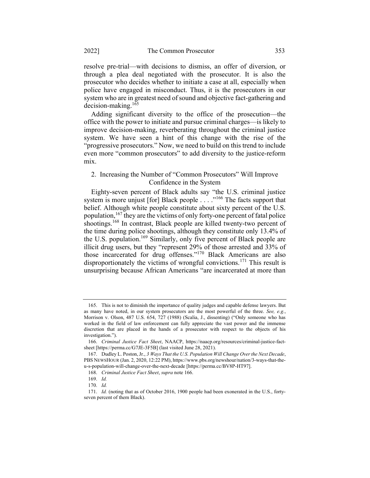resolve pre-trial—with decisions to dismiss, an offer of diversion, or through a plea deal negotiated with the prosecutor. It is also the prosecutor who decides whether to initiate a case at all, especially when police have engaged in misconduct. Thus, it is the prosecutors in our system who are in greatest need of sound and objective fact-gathering and decision-making.<sup>165</sup>

Adding significant diversity to the office of the prosecution—the office with the power to initiate and pursue criminal charges—is likely to improve decision-making, reverberating throughout the criminal justice system. We have seen a hint of this change with the rise of the "progressive prosecutors." Now, we need to build on this trend to include even more "common prosecutors" to add diversity to the justice-reform mix.

### 2. Increasing the Number of "Common Prosecutors" Will Improve Confidence in the System

Eighty-seven percent of Black adults say "the U.S. criminal justice system is more unjust [for] Black people  $\ldots$  ."<sup>166</sup> The facts support that belief. Although white people constitute about sixty percent of the U.S. population, $167$  they are the victims of only forty-one percent of fatal police shootings.<sup>168</sup> In contrast, Black people are killed twenty-two percent of the time during police shootings, although they constitute only 13.4% of the U.S. population.<sup>169</sup> Similarly, only five percent of Black people are illicit drug users, but they "represent 29% of those arrested and 33% of those incarcerated for drug offenses."<sup>170</sup> Black Americans are also disproportionately the victims of wrongful convictions.<sup>171</sup> This result is unsurprising because African Americans "are incarcerated at more than

<sup>165.</sup> This is not to diminish the importance of quality judges and capable defense lawyers. But as many have noted, in our system prosecutors are the most powerful of the three. See,  $e.g.,$ Morrison v. Olson, 487 U.S. 654, 727 (1988) (Scalia, J., dissenting) ("Only someone who has worked in the field of law enforcement can fully appreciate the vast power and the immense discretion that are placed in the hands of a prosecutor with respect to the objects of his investigation.").

<sup>166.</sup> Criminal Justice Fact Sheet, NAACP, https://naacp.org/resources/criminal-justice-factsheet [https://perma.cc/G7JE-3F5B] (last visited June 28, 2021).

<sup>167.</sup> Dudley L. Poston, Jr., 3 Ways That the U.S. Population Will Change Over the Next Decade, PBS NEWSHOUR (Jan. 2, 2020, 12:22 PM), https://www.pbs.org/newshour/nation/3-ways-that-theu-s-population-will-change-over-the-next-decade [https://perma.cc/BV8P-HT97].

<sup>168.</sup> Criminal Justice Fact Sheet, supra note 166.

<sup>169.</sup> Id.

<sup>170.</sup> Id.

<sup>171.</sup> Id. (noting that as of October 2016, 1900 people had been exonerated in the U.S., fortyseven percent of them Black).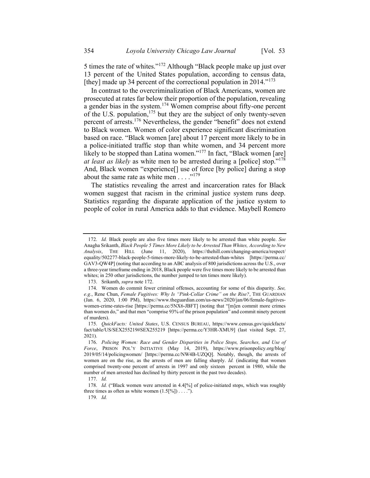5 times the rate of whites."<sup>172</sup> Although "Black people make up just over 13 percent of the United States population, according to census data, [they] made up 34 percent of the correctional population in 2014."<sup>173</sup>

In contrast to the overcriminalization of Black Americans, women are prosecuted at rates far below their proportion of the population, revealing a gender bias in the system.<sup>174</sup> Women comprise about fifty-one percent of the U.S. population,  $175$  but they are the subject of only twenty-seven percent of arrests.<sup>176</sup> Nevertheless, the gender "benefit" does not extend to Black women. Women of color experience significant discrimination based on race. "Black women [are] about 17 percent more likely to be in a police-initiated traffic stop than white women, and 34 percent more likely to be stopped than Latina women."<sup>177</sup> In fact, "Black women [are] at least as likely as white men to be arrested during a [police] stop."<sup>178</sup> And, Black women "experience[] use of force [by police] during a stop about the same rate as white men  $\dots$ ."<sup>179</sup>

The statistics revealing the arrest and incarceration rates for Black women suggest that racism in the criminal justice system runs deep. Statistics regarding the disparate application of the justice system to people of color in rural America adds to that evidence. Maybell Romero

177. Id.

179. Id.

<sup>172.</sup> Id. Black people are also five times more likely to be arrested than white people. See Anagha Srikanth, Black People 5 Times More Likely to be Arrested Than Whites, According to New Analysis, THE HILL (June 11, 2020), https://thehill.com/changing-america/respect/ equality/502277-black-people-5-times-more-likely-to-be-arrested-than-whites [https://perma.cc/ GAV3-QW4P] (noting that according to an ABC analysis of 800 jurisdictions across the U.S., over a three-year timeframe ending in 2018, Black people were five times more likely to be arrested than whites; in 250 other jurisdictions, the number jumped to ten times more likely).

<sup>173.</sup> Srikanth, supra note 172.

<sup>174.</sup> Women do commit fewer criminal offenses, accounting for some of this disparity. See, e.g., Rene Chun, Female Fugitives: Why Is "Pink-Collar Crime" on the Rise?, THE GUARDIAN (Jan. 6, 2020, 1:00 PM), https://www.theguardian.com/us-news/2020/jan/06/female-fugitiveswomen-crime-rates-rise [https://perma.cc/5NX6-JBFT] (noting that "[m]en commit more crimes than women do," and that men "comprise 93% of the prison population" and commit ninety percent of murders).

<sup>175.</sup> QuickFacts: United States, U.S. CENSUS BUREAU, https://www.census.gov/quickfacts/ fact/table/US/SEX255219#SEX255219 [https://perma.cc/Y3HR-XMU9] (last visited Sept. 27, 2021).

<sup>176.</sup> Policing Women: Race and Gender Disparities in Police Stops, Searches, and Use of Force, PRISON POL'Y INITIATIVE (May 14, 2019), https://www.prisonpolicy.org/blog/ 2019/05/14/policingwomen/ [https://perma.cc/NW4B-UZQQ]. Notably, though, the arrests of women are on the rise, as the arrests of men are falling sharply. Id. (indicating that women comprised twenty-one percent of arrests in 1997 and only sixteen percent in 1980, while the number of men arrested has declined by thirty percent in the past two decades).

<sup>178.</sup> Id. ("Black women were arrested in 4.4[%] of police-initiated stops, which was roughly three times as often as white women  $(1.5[%]) \ldots$ ...").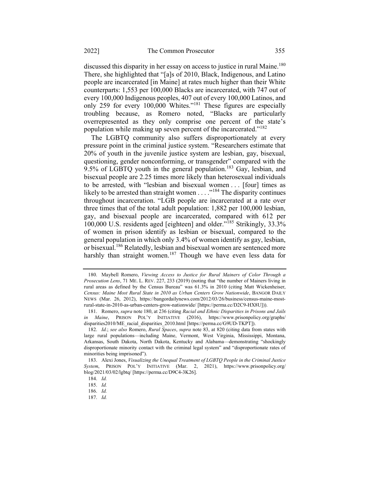discussed this disparity in her essay on access to justice in rural Maine.<sup>180</sup> There, she highlighted that "[a]s of 2010, Black, Indigenous, and Latino people are incarcerated [in Maine] at rates much higher than their White counterparts: 1,553 per 100,000 Blacks are incarcerated, with 747 out of every 100,000 Indigenous peoples, 407 out of every 100,000 Latinos, and only 259 for every 100,000 Whites."<sup>181</sup> These figures are especially troubling because, as Romero noted, "Blacks are particularly overrepresented as they only comprise one percent of the state's population while making up seven percent of the incarcerated."<sup>182</sup>

The LGBTQ community also suffers disproportionately at every pressure point in the criminal justice system. "Researchers estimate that 20% of youth in the juvenile justice system are lesbian, gay, bisexual, questioning, gender nonconforming, or transgender" compared with the 9.5% of LGBTQ youth in the general population.<sup>183</sup> Gay, lesbian, and bisexual people are 2.25 times more likely than heterosexual individuals to be arrested, with "lesbian and bisexual women . . . [four] times as likely to be arrested than straight women  $\dots$ <sup>184</sup> The disparity continues throughout incarceration. "LGB people are incarcerated at a rate over three times that of the total adult population: 1,882 per 100,000 lesbian, gay, and bisexual people are incarcerated, compared with 612 per 100,000 U.S. residents aged [eighteen] and older."<sup>185</sup> Strikingly, 33.3% of women in prison identify as lesbian or bisexual, compared to the general population in which only 3.4% of women identify as gay, lesbian, or bisexual.<sup>186</sup> Relatedly, lesbian and bisexual women are sentenced more harshly than straight women.<sup>187</sup> Though we have even less data for

<sup>180.</sup> Maybell Romero, Viewing Access to Justice for Rural Mainers of Color Through a Prosecution Lens, 71 ME. L. REV. 227, 233 (2019) (noting that "the number of Mainers living in rural areas as defined by the Census Bureau" was 61.3% in 2010 (citing Matt Wickenheiser, Census: Maine Most Rural State in 2010 as Urban Centers Grow Nationwide, BANGOR DAILY NEWS (Mar. 26, 2012), https://bangordailynews.com/2012/03/26/business/census-maine-mostrural-state-in-2010-as-urban-centers-grow-nationwide/ [https://perma.cc/D2C9-HX8U])).

<sup>181.</sup> Romero, supra note 180, at 236 (citing Racial and Ethnic Disparities in Prisons and Jails in Maine, PRISON POL'Y INITIATIVE (2016), https://www.prisonpolicy.org/graphs/ disparities2010/ME\_racial\_disparities\_2010.html [https://perma.cc/G9UD-TKPT]).

<sup>182.</sup> Id.; see also Romero, Rural Spaces, supra note 83, at 820 (citing data from states with large rural populations—including Maine, Vermont, West Virginia, Mississippi, Montana, Arkansas, South Dakota, North Dakota, Kentucky and Alabama—demonstrating "shockingly disproportionate minority contact with the criminal legal system" and "disproportionate rates of minorities being imprisoned").

<sup>183.</sup> Alexi Jones, Visualizing the Unequal Treatment of LGBTQ People in the Criminal Justice System, PRISON POL'Y INITIATIVE (Mar. 2, 2021), https://www.prisonpolicy.org/ blog/2021/03/02/lgbtq/ [https://perma.cc/D9C4-3K26].

<sup>184.</sup> Id.

<sup>185.</sup> Id.

<sup>186.</sup> Id.

<sup>187.</sup> Id.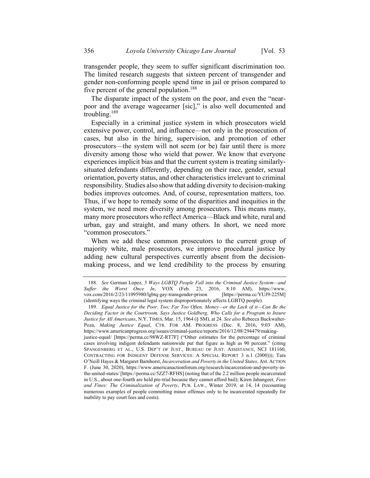transgender people, they seem to suffer significant discrimination too. The limited research suggests that sixteen percent of transgender and gender non-conforming people spend time in jail or prison compared to five percent of the general population.<sup>188</sup>

The disparate impact of the system on the poor, and even the "nearpoor and the average wageearner [sic]," is also well documented and troubling. $189$ 

Especially in a criminal justice system in which prosecutors wield extensive power, control, and influence—not only in the prosecution of cases, but also in the hiring, supervision, and promotion of other prosecutors—the system will not seem (or be) fair until there is more diversity among those who wield that power. We know that everyone experiences implicit bias and that the current system is treating similarlysituated defendants differently, depending on their race, gender, sexual orientation, poverty status, and other characteristics irrelevant to criminal responsibility. Studies also show that adding diversity to decision-making bodies improves outcomes. And, of course, representation matters, too. Thus, if we hope to remedy some of the disparities and inequities in the system, we need more diversity among prosecutors. This means many, many more prosecutors who reflect America—Black and white, rural and urban, gay and straight, and many others. In short, we need more "common prosecutors."

When we add these common prosecutors to the current group of majority white, male prosecutors, we improve procedural justice by adding new cultural perspectives currently absent from the decisionmaking process, and we lend credibility to the process by ensuring

<sup>188.</sup> See German Lopez, 5 Ways LGBTQ People Fall into the Criminal Justice System-and Suffer the Worst Once In, VOX (Feb. 23, 2016, 8:10 AM), https://www. vox.com/2016/2/23/11095980/lgbtq-gay-transgender-prison [https://perma.cc/YUJ9-225M] (identifying ways the criminal legal system disproportionately affects LGBTQ people).

<sup>189.</sup> Equal Justice for the Poor, Too; Far Too Often, Money—or the Lack of it—Can Be the Deciding Factor in the Courtroom, Says Justice Goldberg, Who Calls for a Program to Insure Justice for All Americans, N.Y. TIMES, Mar. 15, 1964 (§ SM), at 24. See also Rebecca Buckwalter-Poza, Making Justice Equal, CTR. FOR AM. PROGRESS (Dec. 8, 2016, 9:03 AM), https://www.americanprogress.org/issues/criminal-justice/reports/2016/12/08/294479/makingjustice-equal/ [https://perma.cc/98WZ-RT7F] ("Other estimates for the percentage of criminal cases involving indigent defendants nationwide put that figure as high as 90 percent." (citing SPANGENBERG ET AL., U.S. DEP'T OF JUST., BUREAU OF JUST. ASSISTANCE, NCJ 181160, CONTRACTING FOR INDIGENT DEFENSE SERVICES: A SPECIAL REPORT 3 n.1 (2000))); Tara O'Neill Hayes & Margaret Barnhorst, Incarceration and Poverty in the United States, AM. ACTION F. (June 30, 2020), https://www.americanactionforum.org/research/incarceration-and-poverty-inthe-united-states/ [https://perma.cc/5ZZ7-RFHS] (noting that of the 2.2 million people incarcerated in U.S., about one-fourth are held pre-trial because they cannot afford bail); Kiren Jahangeer, Fees and Fines: The Criminalization of Poverty, PUB. LAW., Winter 2019, at 14, 14 (recounting numerous examples of people committing minor offenses only to be incarcerated repeatedly for inability to pay court fees and costs).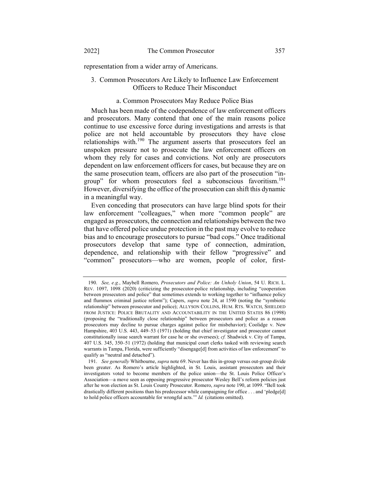representation from a wider array of Americans.

# 3. Common Prosecutors Are Likely to Influence Law Enforcement Officers to Reduce Their Misconduct

# a. Common Prosecutors May Reduce Police Bias

Much has been made of the codependence of law enforcement officers and prosecutors. Many contend that one of the main reasons police continue to use excessive force during investigations and arrests is that police are not held accountable by prosecutors they have close relationships with.<sup>190</sup> The argument asserts that prosecutors feel an unspoken pressure not to prosecute the law enforcement officers on whom they rely for cases and convictions. Not only are prosecutors dependent on law enforcement officers for cases, but because they are on the same prosecution team, officers are also part of the prosecution "ingroup" for whom prosecutors feel a subconscious favoritism.<sup>191</sup> However, diversifying the office of the prosecution can shift this dynamic in a meaningful way.

Even conceding that prosecutors can have large blind spots for their law enforcement "colleagues," when more "common people" are engaged as prosecutors, the connection and relationships between the two that have offered police undue protection in the past may evolve to reduce bias and to encourage prosecutors to pursue "bad cops." Once traditional prosecutors develop that same type of connection, admiration, dependence, and relationship with their fellow "progressive" and "common" prosecutors—who are women, people of color, first-

<sup>190.</sup> See, e.g., Maybell Romero, Prosecutors and Police: An Unholy Union, 54 U. RICH. L. REV. 1097, 1098 (2020) (criticizing the prosecutor-police relationship, including "cooperation between prosecutors and police" that sometimes extends to working together to "influence policy and flummox criminal justice reform"); Capers, *supra* note 24, at 1590 (noting the "symbiotic relationship" between prosecutor and police); ALLYSON COLLINS, HUM. RTS. WATCH, SHIELDED FROM JUSTICE: POLICE BRUTALITY AND ACCOUNTABILITY IN THE UNITED STATES 86 (1998) (proposing the "traditionally close relationship" between prosecutors and police as a reason prosecutors may decline to pursue charges against police for misbehavior); Coolidge v. New Hampshire, 403 U.S. 443, 449–53 (1971) (holding that chief investigator and prosecutor cannot constitutionally issue search warrant for case he or she oversees);  $cf.$  Shadwick v. City of Tampa, 407 U.S. 345, 350–51 (1972) (holding that municipal court clerks tasked with reviewing search warrants in Tampa, Florida, were sufficiently "disengage[d] from activities of law enforcement" to qualify as "neutral and detached").

<sup>191.</sup> See generally Whitbourne, supra note 69. Never has this in-group versus out-group divide been greater. As Romero's article highlighted, in St. Louis, assistant prosecutors and their investigators voted to become members of the police union—the St. Louis Police Officer's Association—a move seen as opposing progressive prosecutor Wesley Bell's reform policies just after he won election as St. Louis County Prosecutor. Romero, supra note 190, at 1099. "Bell took drastically different positions than his predecessor while campaigning for office . . . and 'pledge[d] to hold police officers accountable for wrongful acts.'" Id. (citations omitted).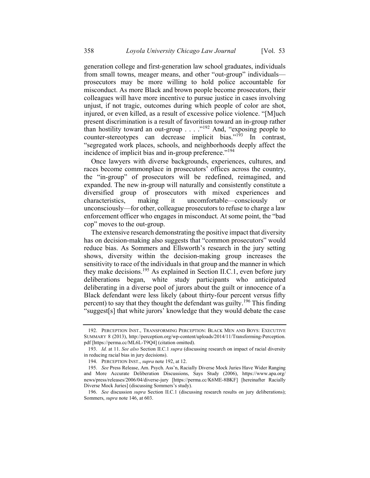generation college and first-generation law school graduates, individuals from small towns, meager means, and other "out-group" individuals prosecutors may be more willing to hold police accountable for misconduct. As more Black and brown people become prosecutors, their colleagues will have more incentive to pursue justice in cases involving unjust, if not tragic, outcomes during which people of color are shot, injured, or even killed, as a result of excessive police violence. "[M]uch present discrimination is a result of favoritism toward an in-group rather than hostility toward an out-group  $\ldots$  ."<sup>192</sup> And, "exposing people to counter-stereotypes can decrease implicit bias."<sup>193</sup> In contrast, "segregated work places, schools, and neighborhoods deeply affect the incidence of implicit bias and in-group preference."<sup>194</sup>

Once lawyers with diverse backgrounds, experiences, cultures, and races become commonplace in prosecutors' offices across the country, the "in-group" of prosecutors will be redefined, reimagined, and expanded. The new in-group will naturally and consistently constitute a diversified group of prosecutors with mixed experiences and characteristics, making it uncomfortable—consciously unconsciously—for other, colleague prosecutors to refuse to charge a law enforcement officer who engages in misconduct. At some point, the "bad cop" moves to the out-group.

The extensive research demonstrating the positive impact that diversity has on decision-making also suggests that "common prosecutors" would reduce bias. As Sommers and Ellsworth's research in the jury setting shows, diversity within the decision-making group increases the sensitivity to race of the individuals in that group and the manner in which they make decisions.<sup>195</sup> As explained in Section II.C.1, even before jury deliberations began, white study participants who anticipated deliberating in a diverse pool of jurors about the guilt or innocence of a Black defendant were less likely (about thirty-four percent versus fifty percent) to say that they thought the defendant was guilty.<sup>196</sup> This finding "suggest[s] that white jurors' knowledge that they would debate the case

<sup>192.</sup> PERCEPTION INST., TRANSFORMING PERCEPTION: BLACK MEN AND BOYS: EXECUTIVE SUMMARY 8 (2013), http://perception.org/wp-content/uploads/2014/11/Transforming-Perception. pdf [https://perma.cc/ML6L-T9Q4] (citation omitted).

<sup>193.</sup> Id. at 11. See also Section II.C.1 supra (discussing research on impact of racial diversity in reducing racial bias in jury decisions).

<sup>194.</sup> PERCEPTION INST., supra note 192, at 12.

<sup>195.</sup> See Press Release, Am. Psych. Ass'n, Racially Diverse Mock Juries Have Wider Ranging and More Accurate Deliberation Discussions, Says Study (2006), https://www.apa.org/ news/press/releases/2006/04/diverse-jury [https://perma.cc/K6ME-8BKF] [hereinafter Racially Diverse Mock Juries] (discussing Sommers's study).

<sup>196.</sup> See discussion *supra* Section II.C.1 (discussing research results on jury deliberations); Sommers, supra note 146, at 603.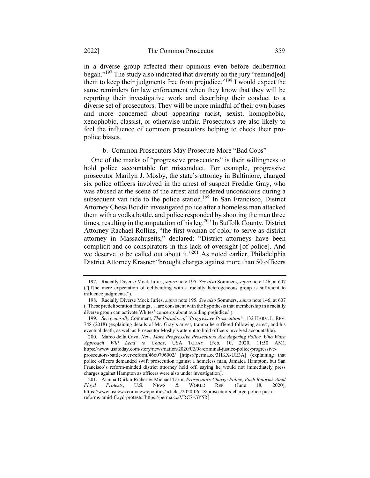in a diverse group affected their opinions even before deliberation began."<sup>197</sup> The study also indicated that diversity on the jury "remind[ed] them to keep their judgments free from prejudice."<sup>198</sup> I would expect the same reminders for law enforcement when they know that they will be reporting their investigative work and describing their conduct to a diverse set of prosecutors. They will be more mindful of their own biases and more concerned about appearing racist, sexist, homophobic, xenophobic, classist, or otherwise unfair. Prosecutors are also likely to feel the influence of common prosecutors helping to check their propolice biases.

### b. Common Prosecutors May Prosecute More "Bad Cops"

One of the marks of "progressive prosecutors" is their willingness to hold police accountable for misconduct. For example, progressive prosecutor Marilyn J. Mosby, the state's attorney in Baltimore, charged six police officers involved in the arrest of suspect Freddie Gray, who was abused at the scene of the arrest and rendered unconscious during a subsequent van ride to the police station.<sup>199</sup> In San Francisco, District Attorney Chesa Boudin investigated police after a homeless man attacked them with a vodka bottle, and police responded by shooting the man three times, resulting in the amputation of his leg.<sup>200</sup> In Suffolk County, District Attorney Rachael Rollins, "the first woman of color to serve as district attorney in Massachusetts," declared: "District attorneys have been complicit and co-conspirators in this lack of oversight [of police]. And we deserve to be called out about it."<sup>201</sup> As noted earlier, Philadelphia District Attorney Krasner "brought charges against more than 50 officers

<sup>197.</sup> Racially Diverse Mock Juries, supra note 195. See also Sommers, supra note 146, at 607 ("[T]he mere expectation of deliberating with a racially heterogeneous group is sufficient to influence judgments.").

<sup>198.</sup> Racially Diverse Mock Juries, supra note 195. See also Sommers, supra note 146, at 607 ("These predeliberation findings . . . are consistent with the hypothesis that membership in a racially diverse group can activate Whites' concerns about avoiding prejudice.").

<sup>199.</sup> See generally Comment, The Paradox of "Progressive Prosecution", 132 HARV. L. REV. 748 (2018) (explaining details of Mr. Gray's arrest, trauma he suffered following arrest, and his eventual death, as well as Prosecutor Mosby's attempt to hold officers involved accountable).

<sup>200.</sup> Marco della Cava, New, More Progressive Prosecutors Are Angering Police, Who Warn Approach Will Lead to Chaos, USA TODAY (Feb. 10, 2020, 11:50 AM), https://www.usatoday.com/story/news/nation/2020/02/08/criminal-justice-police-progressiveprosecutors-battle-over-reform/4660796002/ [https://perma.cc/3HKX-UE3A] (explaining that police officers demanded swift prosecution against a homeless man, Jamaica Hampton, but San Francisco's reform-minded district attorney held off, saying he would not immediately press

charges against Hampton as officers were also under investigation).

<sup>201.</sup> Alanna Durkin Richer & Michael Tarm, *Prosecutors Charge Police, Push Reforms Amid Floyd Protests*, U.S. NEWS & WORLD REP. (June 18, 2020), Floyd Protests, U.S. NEWS & WORLD REP. (June 18, 2020), https://www.usnews.com/news/politics/articles/2020-06-18/prosecutors-charge-police-pushreforms-amid-floyd-protests [https://perma.cc/VRC7-GY5R].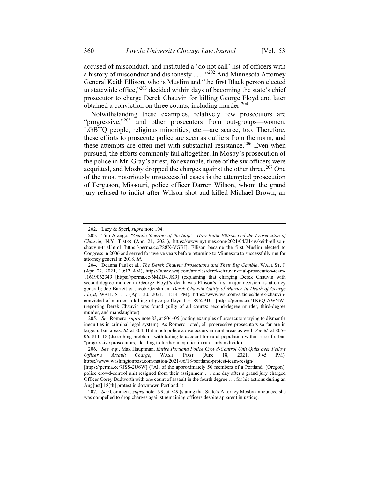accused of misconduct, and instituted a 'do not call' list of officers with a history of misconduct and dishonesty . . . ."<sup>202</sup> And Minnesota Attorney General Keith Ellison, who is Muslim and "the first Black person elected to statewide office," $203$  decided within days of becoming the state's chief prosecutor to charge Derek Chauvin for killing George Floyd and later obtained a conviction on three counts, including murder.<sup>204</sup>

Notwithstanding these examples, relatively few prosecutors are "progressive," $205$  and other prosecutors from out-groups—women, LGBTQ people, religious minorities, etc.—are scarce, too. Therefore, these efforts to prosecute police are seen as outliers from the norm, and these attempts are often met with substantial resistance.<sup>206</sup> Even when pursued, the efforts commonly fail altogether. In Mosby's prosecution of the police in Mr. Gray's arrest, for example, three of the six officers were acquitted, and Mosby dropped the charges against the other three.<sup>207</sup> One of the most notoriously unsuccessful cases is the attempted prosecution of Ferguson, Missouri, police officer Darren Wilson, whom the grand jury refused to indict after Wilson shot and killed Michael Brown, an

<sup>202.</sup> Lacy & Speri, supra note 104.

<sup>203.</sup> Tim Arango, "Gentle Steering of the Ship": How Keith Ellison Led the Prosecution of Chauvin, N.Y. TIMES (Apr. 21, 2021), https://www.nytimes.com/2021/04/21/us/keith-ellisonchauvin-trial.html [https://perma.cc/P88X-VGBJ]. Ellison became the first Muslim elected to Congress in 2006 and served for twelve years before returning to Minnesota to successfully run for attorney general in 2018. Id.

<sup>204.</sup> Deanna Paul et al., The Derek Chauvin Prosecutors and Their Big Gamble, WALL ST. J. (Apr. 22, 2021, 10:12 AM), https://www.wsj.com/articles/derek-chauvin-trial-prosecution-team-11619062349 [https://perma.cc/6MZD-JJK9] (explaining that charging Derek Chauvin with second-degree murder in George Floyd's death was Ellison's first major decision as attorney general); Joe Barrett & Jacob Gershman, Derek Chauvin Guilty of Murder in Death of George Floyd, WALL ST. J. (Apr. 20, 2021, 11:14 PM), https://www.wsj.com/articles/derek-chauvinconvicted-of-murder-in-killing-of-george-floyd-11618952910 [https://perma.cc/TK6Q-AWNW] (reporting Derek Chauvin was found guilty of all counts: second-degree murder, third-degree murder, and manslaughter).

<sup>205.</sup> See Romero, *supra* note 83, at 804–05 (noting examples of prosecutors trying to dismantle inequities in criminal legal system). As Romero noted, all progressive prosecutors so far are in large, urban areas. Id. at 804. But much police abuse occurs in rural areas as well. See id. at 805– 06, 811–18 (describing problems with failing to account for rural population within rise of urban "progressive prosecutors," leading to further inequities in rural-urban divide).

<sup>206.</sup> See, e.g., Max Hauptman, Entire Portland Police Crowd-Control Unit Quits over Fellow Officer's Assault Charge, WASH. POST (June 18, 2021, 9:45 PM), https://www.washingtonpost.com/nation/2021/06/18/portland-protest-team-resign/

<sup>[</sup>https://perma.cc/7JSS-2U6W] ("All of the approximately 50 members of a Portland, [Oregon], police crowd-control unit resigned from their assignment . . . one day after a grand jury charged Officer Corey Budworth with one count of assault in the fourth degree . . . for his actions during an Aug[ust] 18[th] protest in downtown Portland.").

<sup>207.</sup> See Comment, supra note 199, at 749 (stating that State's Attorney Mosby announced she was compelled to drop charges against remaining officers despite apparent injustice).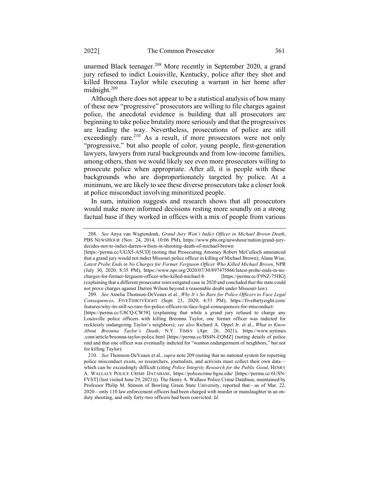unarmed Black teenager.<sup>208</sup> More recently in September 2020, a grand jury refused to indict Louisville, Kentucky, police after they shot and killed Breonna Taylor while executing a warrant in her home after midnight.<sup>209</sup>

Although there does not appear to be a statistical analysis of how many of these new "progressive" prosecutors are willing to file charges against police, the anecdotal evidence is building that all prosecutors are beginning to take police brutality more seriously and that the progressives are leading the way. Nevertheless, prosecutions of police are still exceedingly rare.<sup>210</sup> As a result, if more prosecutors were not only "progressive," but also people of color, young people, first-generation lawyers, lawyers from rural backgrounds and from low-income families, among others, then we would likely see even more prosecutors willing to prosecute police when appropriate. After all, it is people with these backgrounds who are disproportionately targeted by police. At a minimum, we are likely to see these diverse prosecutors take a closer look at police misconduct involving minoritized people.

In sum, intuition suggests and research shows that all prosecutors would make more informed decisions resting more soundly on a strong factual base if they worked in offices with a mix of people from various

<sup>208.</sup> See Anya van Wagtendonk, Grand Jury Won't Indict Officer in Michael Brown Death, PBS NEWSHOUR (Nov. 24, 2014, 10:06 PM), https://www.pbs.org/newshour/nation/grand-jurydecides-not-to-indict-darren-wilson-in-shooting-death-of-michael-brown

<sup>[</sup>https://perma.cc/UGX5-A5CD] (noting that Prosecuting Attorney Robert McCulloch announced that a grand jury would not indict Missouri police officer in killing of Michael Brown); Alana Wise, Latest Probe Ends in No Charges for Former Ferguson Officer Who Killed Michael Brown, NPR (July 30, 2020, 8:35 PM), https://www.npr.org/2020/07/30/897475866/latest-probe-ends-in-nocharges-for-former-ferguson-officer-who-killed-michael-b [https://perma.cc/F9NZ-75HG] (explaining that a different prosecutor reinvestigated case in 2020 and concluded that the state could not prove charges against Darren Wilson beyond a reasonable doubt under Missouri law).

<sup>209.</sup> See Amelia Thomson-DeVeaux et al., Why It's So Rare for Police Officers to Face Legal Consequences, FIVETHIRTYEIGHT (Sept. 23, 2020, 4:53 PM), https://fivethirtyeight.com/ features/why-its-still-so-rare-for-police-officers-to-face-legal-consequences-for-misconduct/

<sup>[</sup>https://perma.cc/U8CQ-CW58] (explaining that while a grand jury refused to charge any Louisville police officers with killing Breonna Taylor, one former officer was indicted for recklessly endangering Taylor's neighbors); see also Richard A. Oppel Jr. et al., What to Know About Breonna Taylor's Death, N.Y. TIMES (Apr. 26, 2021), https://www.nytimes .com/article/breonna-taylor-police.html [https://perma.cc/BS4N-EQMZ] (noting details of police raid and that one officer was eventually indicted for "wanton endangerment of neighbors," but not for killing Taylor).

<sup>210.</sup> See Thomson-DeVeaux et al., supra note 209 (noting that no national system for reporting police misconduct exists, so researchers, journalists, and activists must collect their own data–– which can be exceedingly difficult (citing Police Integrity Research for the Public Good, HENRY A. WALLACE POLICE CRIME DATABASE, https://policecrime.bgsu.edu/ [https://perma.cc/6USN-FVST] (last visited June 29, 2021))). The Henry A. Wallace Police Crime Database, maintained by Professor Philip M. Stinson of Bowling Green State University, reported that—as of Mar. 22, 2020—only 110 law enforcement officers had been charged with murder or manslaughter in an onduty shooting, and only forty-two officers had been convicted. Id.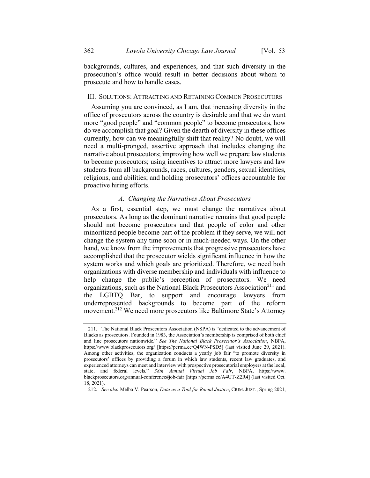backgrounds, cultures, and experiences, and that such diversity in the prosecution's office would result in better decisions about whom to prosecute and how to handle cases.

#### III. SOLUTIONS: ATTRACTING AND RETAINING COMMON PROSECUTORS

Assuming you are convinced, as I am, that increasing diversity in the office of prosecutors across the country is desirable and that we do want more "good people" and "common people" to become prosecutors, how do we accomplish that goal? Given the dearth of diversity in these offices currently, how can we meaningfully shift that reality? No doubt, we will need a multi-pronged, assertive approach that includes changing the narrative about prosecutors; improving how well we prepare law students to become prosecutors; using incentives to attract more lawyers and law students from all backgrounds, races, cultures, genders, sexual identities, religions, and abilities; and holding prosecutors' offices accountable for proactive hiring efforts.

#### A. Changing the Narratives About Prosecutors

As a first, essential step, we must change the narratives about prosecutors. As long as the dominant narrative remains that good people should not become prosecutors and that people of color and other minoritized people become part of the problem if they serve, we will not change the system any time soon or in much-needed ways. On the other hand, we know from the improvements that progressive prosecutors have accomplished that the prosecutor wields significant influence in how the system works and which goals are prioritized. Therefore, we need both organizations with diverse membership and individuals with influence to help change the public's perception of prosecutors. We need organizations, such as the National Black Prosecutors Association<sup>211</sup> and the LGBTQ Bar, to support and encourage lawyers from underrepresented backgrounds to become part of the reform movement.<sup>212</sup> We need more prosecutors like Baltimore State's Attorney

<sup>211.</sup> The National Black Prosecutors Association (NSPA) is "dedicated to the advancement of Blacks as prosecutors. Founded in 1983, the Association's membership is comprised of both chief and line prosecutors nationwide." See The National Black Prosecutor's Association, NBPA, https://www.blackprosecutors.org/ [https://perma.cc/Q4WN-PSD5] (last visited June 29, 2021). Among other activities, the organization conducts a yearly job fair "to promote diversity in prosecutors' offices by providing a forum in which law students, recent law graduates, and experienced attorneys can meet and interview with prospective prosecutorial employers at the local, state, and federal levels." 38th Annual Virtual Job Fair, NBPA, https://www. blackprosecutors.org/annual-conference#job-fair [https://perma.cc/A4UT-Z2R4] (last visited Oct. 18, 2021).

<sup>212.</sup> See also Melba V. Pearson, Data as a Tool for Racial Justice, CRIM. JUST., Spring 2021,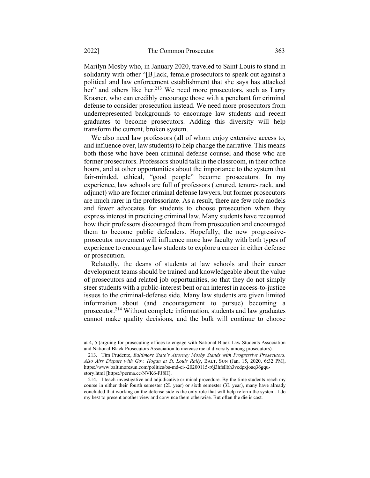Marilyn Mosby who, in January 2020, traveled to Saint Louis to stand in solidarity with other "[B]lack, female prosecutors to speak out against a political and law enforcement establishment that she says has attacked her" and others like her.<sup>213</sup> We need more prosecutors, such as Larry Krasner, who can credibly encourage those with a penchant for criminal defense to consider prosecution instead. We need more prosecutors from underrepresented backgrounds to encourage law students and recent graduates to become prosecutors. Adding this diversity will help transform the current, broken system.

We also need law professors (all of whom enjoy extensive access to, and influence over, law students) to help change the narrative. This means both those who have been criminal defense counsel and those who are former prosecutors. Professors should talk in the classroom, in their office hours, and at other opportunities about the importance to the system that fair-minded, ethical, "good people" become prosecutors. In my experience, law schools are full of professors (tenured, tenure-track, and adjunct) who are former criminal defense lawyers, but former prosecutors are much rarer in the professoriate. As a result, there are few role models and fewer advocates for students to choose prosecution when they express interest in practicing criminal law. Many students have recounted how their professors discouraged them from prosecution and encouraged them to become public defenders. Hopefully, the new progressiveprosecutor movement will influence more law faculty with both types of experience to encourage law students to explore a career in either defense or prosecution.

Relatedly, the deans of students at law schools and their career development teams should be trained and knowledgeable about the value of prosecutors and related job opportunities, so that they do not simply steer students with a public-interest bent or an interest in access-to-justice issues to the criminal-defense side. Many law students are given limited information about (and encouragement to pursue) becoming a prosecutor.<sup>214</sup> Without complete information, students and law graduates cannot make quality decisions, and the bulk will continue to choose

at 4, 5 (arguing for prosecuting offices to engage with National Black Law Students Association and National Black Prosecutors Association to increase racial diversity among prosecutors).

<sup>213.</sup> Tim Prudente, Baltimore State's Attorney Mosby Stands with Progressive Prosecutors, Also Airs Dispute with Gov. Hogan at St. Louis Rally, BALT. SUN (Jan. 15, 2020, 6:32 PM), https://www.baltimoresun.com/politics/bs-md-ci--20200115-r6j3hfsllbh3vcdpxjoaq36gqustory.html [https://perma.cc/NVK6-FJ8H].

<sup>214.</sup> I teach investigative and adjudicative criminal procedure. By the time students reach my course in either their fourth semester (2L year) or sixth semester (3L year), many have already concluded that working on the defense side is the only role that will help reform the system. I do my best to present another view and convince them otherwise. But often the die is cast.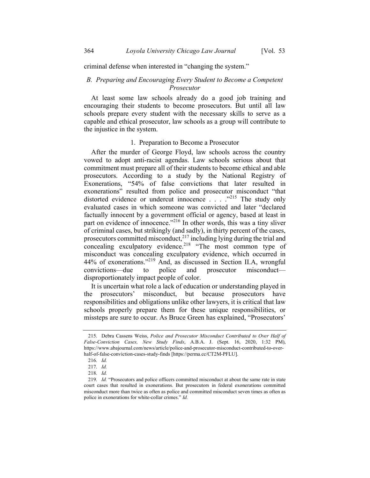criminal defense when interested in "changing the system."

# B. Preparing and Encouraging Every Student to Become a Competent Prosecutor

At least some law schools already do a good job training and encouraging their students to become prosecutors. But until all law schools prepare every student with the necessary skills to serve as a capable and ethical prosecutor, law schools as a group will contribute to the injustice in the system.

### 1. Preparation to Become a Prosecutor

After the murder of George Floyd, law schools across the country vowed to adopt anti-racist agendas. Law schools serious about that commitment must prepare all of their students to become ethical and able prosecutors. According to a study by the National Registry of Exonerations, "54% of false convictions that later resulted in exonerations" resulted from police and prosecutor misconduct "that distorted evidence or undercut innocence . . . . .<sup>215</sup> The study only evaluated cases in which someone was convicted and later "declared factually innocent by a government official or agency, based at least in part on evidence of innocence."<sup>216</sup> In other words, this was a tiny sliver of criminal cases, but strikingly (and sadly), in thirty percent of the cases, prosecutors committed misconduct, $^{217}$  including lying during the trial and concealing exculpatory evidence.<sup>218</sup> "The most common type of misconduct was concealing exculpatory evidence, which occurred in 44% of exonerations."<sup>219</sup> And, as discussed in Section II.A, wrongful convictions—due to police and prosecutor misconduct disproportionately impact people of color.

It is uncertain what role a lack of education or understanding played in the prosecutors' misconduct, but because prosecutors have responsibilities and obligations unlike other lawyers, it is critical that law schools properly prepare them for these unique responsibilities, or missteps are sure to occur. As Bruce Green has explained, "Prosecutors'

<sup>215.</sup> Debra Cassens Weiss, Police and Prosecutor Misconduct Contributed to Over Half of False-Conviction Cases, New Study Finds, A.B.A. J. (Sept. 16, 2020, 1:32 PM), https://www.abajournal.com/news/article/police-and-prosecutor-misconduct-contributed-to-overhalf-of-false-conviction-cases-study-finds [https://perma.cc/CT2M-PFLU].

<sup>216.</sup> Id.

<sup>217.</sup> Id.

<sup>218.</sup> Id.

<sup>219.</sup> Id. "Prosecutors and police officers committed misconduct at about the same rate in state court cases that resulted in exonerations. But prosecutors in federal exonerations committed misconduct more than twice as often as police and committed misconduct seven times as often as police in exonerations for white-collar crimes." Id.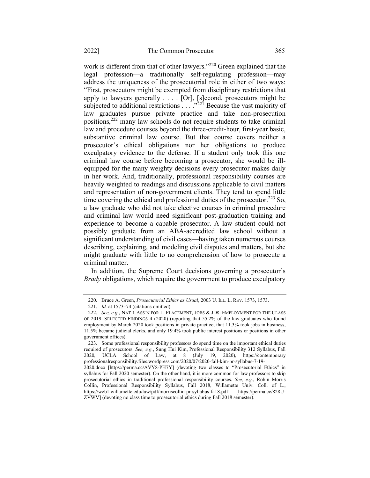work is different from that of other lawyers."<sup>220</sup> Green explained that the legal profession—a traditionally self-regulating profession—may address the uniqueness of the prosecutorial role in either of two ways: "First, prosecutors might be exempted from disciplinary restrictions that apply to lawyers generally  $\dots$  [Or], [s]econd, prosecutors might be subjected to additional restrictions  $\ldots$   $\ldots$ <sup>221</sup> Because the vast majority of law graduates pursue private practice and take non-prosecution positions,<sup>222</sup> many law schools do not require students to take criminal law and procedure courses beyond the three-credit-hour, first-year basic, substantive criminal law course. But that course covers neither a prosecutor's ethical obligations nor her obligations to produce exculpatory evidence to the defense. If a student only took this one criminal law course before becoming a prosecutor, she would be illequipped for the many weighty decisions every prosecutor makes daily in her work. And, traditionally, professional responsibility courses are heavily weighted to readings and discussions applicable to civil matters and representation of non-government clients. They tend to spend little time covering the ethical and professional duties of the prosecutor.<sup>223</sup> So, a law graduate who did not take elective courses in criminal procedure and criminal law would need significant post-graduation training and experience to become a capable prosecutor. A law student could not possibly graduate from an ABA-accredited law school without a significant understanding of civil cases—having taken numerous courses describing, explaining, and modeling civil disputes and matters, but she might graduate with little to no comprehension of how to prosecute a criminal matter.

In addition, the Supreme Court decisions governing a prosecutor's Brady obligations, which require the government to produce exculpatory

<sup>220.</sup> Bruce A. Green, Prosecutorial Ethics as Usual, 2003 U. ILL. L. REV. 1573, 1573.

<sup>221.</sup> Id. at 1573–74 (citations omitted).

<sup>222.</sup> See, e.g., NAT'L ASS'N FOR L. PLACEMENT, JOBS & JDS: EMPLOYMENT FOR THE CLASS OF 2019: SELECTED FINDINGS 4 (2020) (reporting that 55.2% of the law graduates who found employment by March 2020 took positions in private practice, that 11.3% took jobs in business, 11.5% became judicial clerks, and only 19.4% took public interest positions or positions in other government offices).

<sup>223.</sup> Some professional responsibility professors do spend time on the important ethical duties required of prosecutors. See, e.g., Sung Hui Kim, Professional Responsibility 312 Syllabus, Fall 2020, UCLA School of Law, at 8 (July 19, 2020), https://contemporary professionalresponsibility.files.wordpress.com/2020/07/2020-fall-kim-pr-syllabus-7-19-

<sup>2020.</sup>docx [https://perma.cc/AVY8-PH7Y] (devoting two classes to "Prosecutorial Ethics" in syllabus for Fall 2020 semester). On the other hand, it is more common for law professors to skip prosecutorial ethics in traditional professional responsibility courses. See, e.g., Robin Morris Collin, Professional Responsibility Syllabus, Fall 2018, Willamette Univ. Coll. of L., https://web1.willamette.edu/law/pdf/morriscollin-pr-syllabus-fa18.pdf [https://perma.cc/828U-ZVWV] (devoting no class time to prosecutorial ethics during Fall 2018 semester).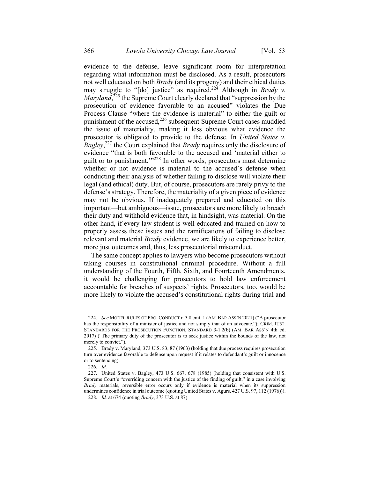evidence to the defense, leave significant room for interpretation regarding what information must be disclosed. As a result, prosecutors not well educated on both *Brady* (and its progeny) and their ethical duties may struggle to "[do] justice" as required.<sup>224</sup> Although in *Brady v. Maryland*,<sup>225</sup> the Supreme Court clearly declared that "suppression by the prosecution of evidence favorable to an accused" violates the Due Process Clause "where the evidence is material" to either the guilt or punishment of the accused,<sup>226</sup> subsequent Supreme Court cases muddied the issue of materiality, making it less obvious what evidence the prosecutor is obligated to provide to the defense. In United States v. Bagley,<sup>227</sup> the Court explained that Brady requires only the disclosure of evidence "that is both favorable to the accused and 'material either to guilt or to punishment.'"<sup>228</sup> In other words, prosecutors must determine whether or not evidence is material to the accused's defense when conducting their analysis of whether failing to disclose will violate their legal (and ethical) duty. But, of course, prosecutors are rarely privy to the defense's strategy. Therefore, the materiality of a given piece of evidence may not be obvious. If inadequately prepared and educated on this important—but ambiguous—issue, prosecutors are more likely to breach their duty and withhold evidence that, in hindsight, was material. On the other hand, if every law student is well educated and trained on how to properly assess these issues and the ramifications of failing to disclose relevant and material *Brady* evidence, we are likely to experience better, more just outcomes and, thus, less prosecutorial misconduct.

The same concept applies to lawyers who become prosecutors without taking courses in constitutional criminal procedure. Without a full understanding of the Fourth, Fifth, Sixth, and Fourteenth Amendments, it would be challenging for prosecutors to hold law enforcement accountable for breaches of suspects' rights. Prosecutors, too, would be more likely to violate the accused's constitutional rights during trial and

<sup>224.</sup> See MODEL RULES OF PRO. CONDUCT r. 3.8 cmt. 1 (AM. BAR ASS'N 2021) ("A prosecutor has the responsibility of a minister of justice and not simply that of an advocate."); CRIM. JUST. STANDARDS FOR THE PROSECUTION FUNCTION, STANDARD 3-1.2(b) (AM. BAR ASS'N 4th ed. 2017) ("The primary duty of the prosecutor is to seek justice within the bounds of the law, not merely to convict.").

<sup>225.</sup> Brady v. Maryland, 373 U.S. 83, 87 (1963) (holding that due process requires prosecution turn over evidence favorable to defense upon request if it relates to defendant's guilt or innocence or to sentencing).

<sup>226.</sup> Id.

<sup>227.</sup> United States v. Bagley, 473 U.S. 667, 678 (1985) (holding that consistent with U.S. Supreme Court's "overriding concern with the justice of the finding of guilt," in a case involving Brady materials, reversible error occurs only if evidence is material when its suppression undermines confidence in trial outcome (quoting United States v. Agurs, 427 U.S. 97, 112 (1976))).

<sup>228.</sup> Id. at 674 (quoting Brady, 373 U.S. at 87).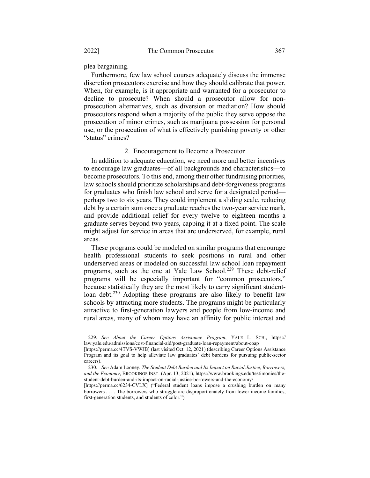plea bargaining.

Furthermore, few law school courses adequately discuss the immense discretion prosecutors exercise and how they should calibrate that power. When, for example, is it appropriate and warranted for a prosecutor to decline to prosecute? When should a prosecutor allow for nonprosecution alternatives, such as diversion or mediation? How should prosecutors respond when a majority of the public they serve oppose the prosecution of minor crimes, such as marijuana possession for personal use, or the prosecution of what is effectively punishing poverty or other "status" crimes?

### 2. Encouragement to Become a Prosecutor

In addition to adequate education, we need more and better incentives to encourage law graduates—of all backgrounds and characteristics—to become prosecutors. To this end, among their other fundraising priorities, law schools should prioritize scholarships and debt-forgiveness programs for graduates who finish law school and serve for a designated period perhaps two to six years. They could implement a sliding scale, reducing debt by a certain sum once a graduate reaches the two-year service mark, and provide additional relief for every twelve to eighteen months a graduate serves beyond two years, capping it at a fixed point. The scale might adjust for service in areas that are underserved, for example, rural areas.

These programs could be modeled on similar programs that encourage health professional students to seek positions in rural and other underserved areas or modeled on successful law school loan repayment programs, such as the one at Yale Law School.<sup>229</sup> These debt-relief programs will be especially important for "common prosecutors," because statistically they are the most likely to carry significant studentloan debt.<sup>230</sup> Adopting these programs are also likely to benefit law schools by attracting more students. The programs might be particularly attractive to first-generation lawyers and people from low-income and rural areas, many of whom may have an affinity for public interest and

<sup>229.</sup> See About the Career Options Assistance Program, YALE L. SCH., https:// law.yale.edu/admissions/cost-financial-aid/post-graduate-loan-repayment/about-coap

<sup>[</sup>https://perma.cc/4TVS-VWJB] (last visited Oct. 12, 2021) (describing Career Options Assistance Program and its goal to help alleviate law graduates' debt burdens for pursuing public-sector careers).

<sup>230.</sup> See Adam Looney, The Student Debt Burden and Its Impact on Racial Justice, Borrowers, and the Economy, BROOKINGS INST. (Apr. 13, 2021), https://www.brookings.edu/testimonies/thestudent-debt-burden-and-its-impact-on-racial-justice-borrowers-and-the-economy/

<sup>[</sup>https://perma.cc/6234-CVLX] ("Federal student loans impose a crushing burden on many borrowers . . . . The borrowers who struggle are disproportionately from lower-income families, first-generation students, and students of color.").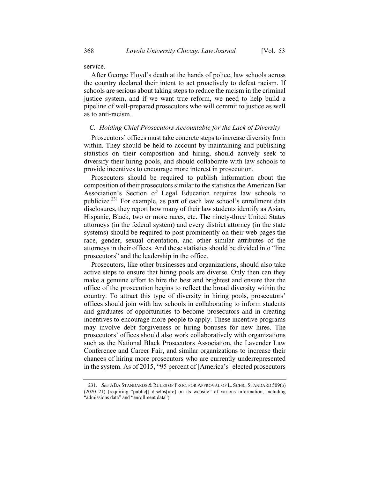service.

After George Floyd's death at the hands of police, law schools across the country declared their intent to act proactively to defeat racism. If schools are serious about taking steps to reduce the racism in the criminal justice system, and if we want true reform, we need to help build a pipeline of well-prepared prosecutors who will commit to justice as well as to anti-racism.

#### C. Holding Chief Prosecutors Accountable for the Lack of Diversity

Prosecutors' offices must take concrete steps to increase diversity from within. They should be held to account by maintaining and publishing statistics on their composition and hiring, should actively seek to diversify their hiring pools, and should collaborate with law schools to provide incentives to encourage more interest in prosecution.

Prosecutors should be required to publish information about the composition of their prosecutors similar to the statistics the American Bar Association's Section of Legal Education requires law schools to publicize.<sup>231</sup> For example, as part of each law school's enrollment data disclosures, they report how many of their law students identify as Asian, Hispanic, Black, two or more races, etc. The ninety-three United States attorneys (in the federal system) and every district attorney (in the state systems) should be required to post prominently on their web pages the race, gender, sexual orientation, and other similar attributes of the attorneys in their offices. And these statistics should be divided into "line prosecutors" and the leadership in the office.

Prosecutors, like other businesses and organizations, should also take active steps to ensure that hiring pools are diverse. Only then can they make a genuine effort to hire the best and brightest and ensure that the office of the prosecution begins to reflect the broad diversity within the country. To attract this type of diversity in hiring pools, prosecutors' offices should join with law schools in collaborating to inform students and graduates of opportunities to become prosecutors and in creating incentives to encourage more people to apply. These incentive programs may involve debt forgiveness or hiring bonuses for new hires. The prosecutors' offices should also work collaboratively with organizations such as the National Black Prosecutors Association, the Lavender Law Conference and Career Fair, and similar organizations to increase their chances of hiring more prosecutors who are currently underrepresented in the system. As of 2015, "95 percent of [America's] elected prosecutors

<sup>231.</sup> See ABA STANDARDS & RULES OF PROC. FOR APPROVAL OF L. SCHS., STANDARD 509(b) (2020–21) (requiring "public[] disclos[ure] on its website" of various information, including "admissions data" and "enrollment data").